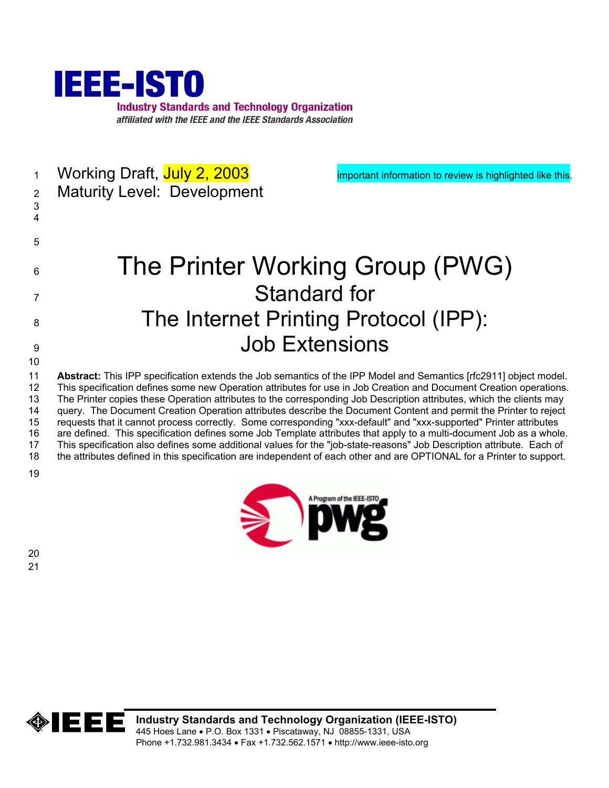

1 Working Draft, July 2, 2003 **important information to review is highlighted like this.** 2 3 4 5 6 7 8 9 10 11 12 13 14 15 16 17 18 19 Maturity Level: Development The Printer Working Group (PWG) Standard for The Internet Printing Protocol (IPP): Job Extensions **Abstract:** This IPP specification extends the Job semantics of the IPP Model and Semantics [rfc2911] object model. This specification defines some new Operation attributes for use in Job Creation and Document Creation operations. The Printer copies these Operation attributes to the corresponding Job Description attributes, which the clients may query. The Document Creation Operation attributes describe the Document Content and permit the Printer to reject requests that it cannot process correctly. Some corresponding "xxx-default" and "xxx-supported" Printer attributes are defined. This specification defines some Job Template attributes that apply to a multi-document Job as a whole. This specification also defines some additional values for the "job-state-reasons" Job Description attribute. Each of the attributes defined in this specification are independent of each other and are OPTIONAL for a Printer to support.



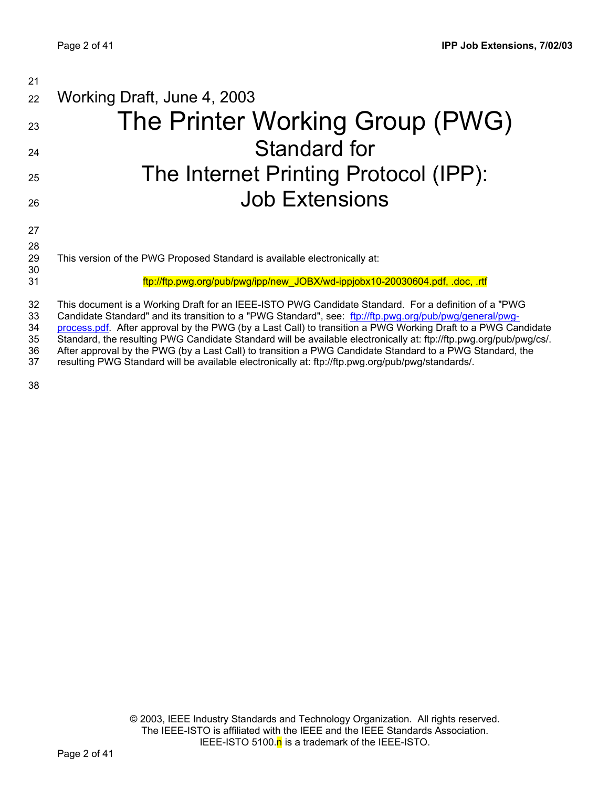| 21                   |                                                                                                                                                                                                                                                                                                                                                                                                                                                       |
|----------------------|-------------------------------------------------------------------------------------------------------------------------------------------------------------------------------------------------------------------------------------------------------------------------------------------------------------------------------------------------------------------------------------------------------------------------------------------------------|
| 22                   | Working Draft, June 4, 2003                                                                                                                                                                                                                                                                                                                                                                                                                           |
| 23                   | The Printer Working Group (PWG)                                                                                                                                                                                                                                                                                                                                                                                                                       |
| 24                   | Standard for                                                                                                                                                                                                                                                                                                                                                                                                                                          |
| 25                   | The Internet Printing Protocol (IPP):                                                                                                                                                                                                                                                                                                                                                                                                                 |
| 26                   | <b>Job Extensions</b>                                                                                                                                                                                                                                                                                                                                                                                                                                 |
| 27                   |                                                                                                                                                                                                                                                                                                                                                                                                                                                       |
| 28<br>29<br>30       | This version of the PWG Proposed Standard is available electronically at:                                                                                                                                                                                                                                                                                                                                                                             |
| 31                   | ftp://ftp.pwg.org/pub/pwg/ipp/new_JOBX/wd-ippjobx10-20030604.pdf, .doc, .rtf                                                                                                                                                                                                                                                                                                                                                                          |
| 32<br>33<br>34<br>35 | This document is a Working Draft for an IEEE-ISTO PWG Candidate Standard. For a definition of a "PWG<br>Candidate Standard" and its transition to a "PWG Standard", see: ftp://ftp.pwg.org/pub/pwg/general/pwg-<br>process.pdf. After approval by the PWG (by a Last Call) to transition a PWG Working Draft to a PWG Candidate<br>Standard, the resulting PWG Candidate Standard will be available electronically at: ftp://ftp.pwg.org/pub/pwg/cs/. |
| 36                   | After approval by the PWG (by a Last Call) to transition a PWG Candidate Standard to a PWG Standard, the                                                                                                                                                                                                                                                                                                                                              |

resulting PWG Standard will be available electronically at: ftp://ftp.pwg.org/pub/pwg/standards/. 37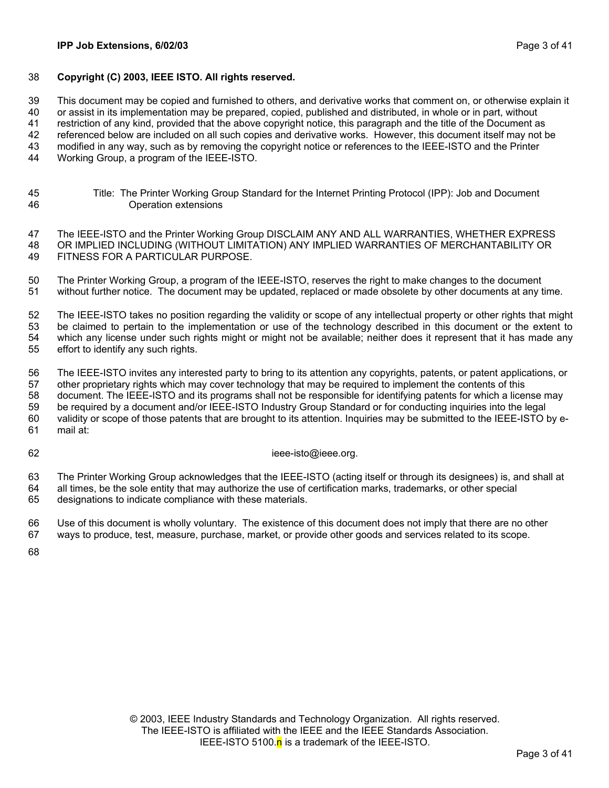### 38 **Copyright (C) 2003, IEEE ISTO. All rights reserved.**

39 This document may be copied and furnished to others, and derivative works that comment on, or otherwise explain it

40 or assist in its implementation may be prepared, copied, published and distributed, in whole or in part, without

41 restriction of any kind, provided that the above copyright notice, this paragraph and the title of the Document as

42 referenced below are included on all such copies and derivative works. However, this document itself may not be

43 modified in any way, such as by removing the copyright notice or references to the IEEE-ISTO and the Printer

- 44 Working Group, a program of the IEEE-ISTO.
- 45 46 Title: The Printer Working Group Standard for the Internet Printing Protocol (IPP): Job and Document Operation extensions

47 48 49 The IEEE-ISTO and the Printer Working Group DISCLAIM ANY AND ALL WARRANTIES, WHETHER EXPRESS OR IMPLIED INCLUDING (WITHOUT LIMITATION) ANY IMPLIED WARRANTIES OF MERCHANTABILITY OR FITNESS FOR A PARTICULAR PURPOSE.

50 51 The Printer Working Group, a program of the IEEE-ISTO, reserves the right to make changes to the document without further notice. The document may be updated, replaced or made obsolete by other documents at any time.

52 53 54 55 The IEEE-ISTO takes no position regarding the validity or scope of any intellectual property or other rights that might be claimed to pertain to the implementation or use of the technology described in this document or the extent to which any license under such rights might or might not be available; neither does it represent that it has made any effort to identify any such rights.

56 57 58 59 60 61 The IEEE-ISTO invites any interested party to bring to its attention any copyrights, patents, or patent applications, or other proprietary rights which may cover technology that may be required to implement the contents of this document. The IEEE-ISTO and its programs shall not be responsible for identifying patents for which a license may be required by a document and/or IEEE-ISTO Industry Group Standard or for conducting inquiries into the legal validity or scope of those patents that are brought to its attention. Inquiries may be submitted to the IEEE-ISTO by email at:

62

ieee-isto@ieee.org.

63 64 65 The Printer Working Group acknowledges that the IEEE-ISTO (acting itself or through its designees) is, and shall at all times, be the sole entity that may authorize the use of certification marks, trademarks, or other special designations to indicate compliance with these materials.

66 67 Use of this document is wholly voluntary. The existence of this document does not imply that there are no other ways to produce, test, measure, purchase, market, or provide other goods and services related to its scope.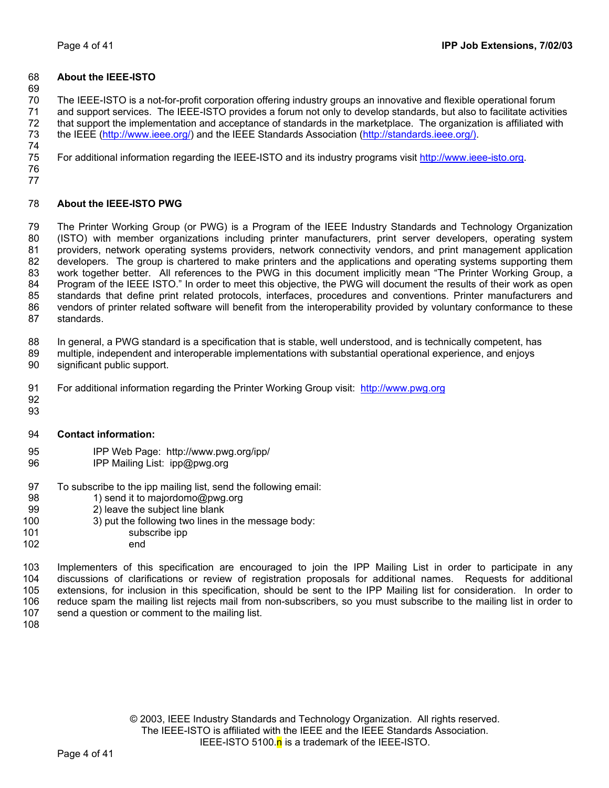### 68 **About the IEEE-ISTO**

69

70 71 72 The IEEE-ISTO is a not-for-profit corporation offering industry groups an innovative and flexible operational forum and support services. The IEEE-ISTO provides a forum not only to develop standards, but also to facilitate activities that support the implementation and acceptance of standards in the marketplace. The organization is affiliated with 73 the IEEE [\(http://www.ieee.org/\)](http://www.ieee.org/) and the IEEE Standards Association ([http://standards.ieee.org/\).](http://standards.ieee.org/)) 74

75 For additional information regarding the IEEE-ISTO and its industry programs visit [http://www.ieee-isto.org.](http://www.ieee-isto.org/)

76 77

#### 78 **About the IEEE-ISTO PWG**

79 80 81 82 83 84 85 86 87 The Printer Working Group (or PWG) is a Program of the IEEE Industry Standards and Technology Organization (ISTO) with member organizations including printer manufacturers, print server developers, operating system providers, network operating systems providers, network connectivity vendors, and print management application developers. The group is chartered to make printers and the applications and operating systems supporting them work together better. All references to the PWG in this document implicitly mean "The Printer Working Group, a Program of the IEEE ISTO." In order to meet this objective, the PWG will document the results of their work as open standards that define print related protocols, interfaces, procedures and conventions. Printer manufacturers and vendors of printer related software will benefit from the interoperability provided by voluntary conformance to these standards.

88 In general, a PWG standard is a specification that is stable, well understood, and is technically competent, has

- 89 90 multiple, independent and interoperable implementations with substantial operational experience, and enjoys significant public support.
- 91 For additional information regarding the Printer Working Group visit: http://www.pwg.org
- 92 93
- 94 **Contact information:**
- 95 IPP Web Page: http://www.pwg.org/ipp/
- 96 IPP Mailing List: ipp@pwg.org
- 97 To subscribe to the ipp mailing list, send the following email:
- 98 1) send it to majordomo@pwg.org
- 99 2) leave the subject line blank
- 100 3) put the following two lines in the message body:
- 101 subscribe ipp
- 102 end

103 104 105 106 107 Implementers of this specification are encouraged to join the IPP Mailing List in order to participate in any discussions of clarifications or review of registration proposals for additional names. Requests for additional extensions, for inclusion in this specification, should be sent to the IPP Mailing list for consideration. In order to reduce spam the mailing list rejects mail from non-subscribers, so you must subscribe to the mailing list in order to send a question or comment to the mailing list.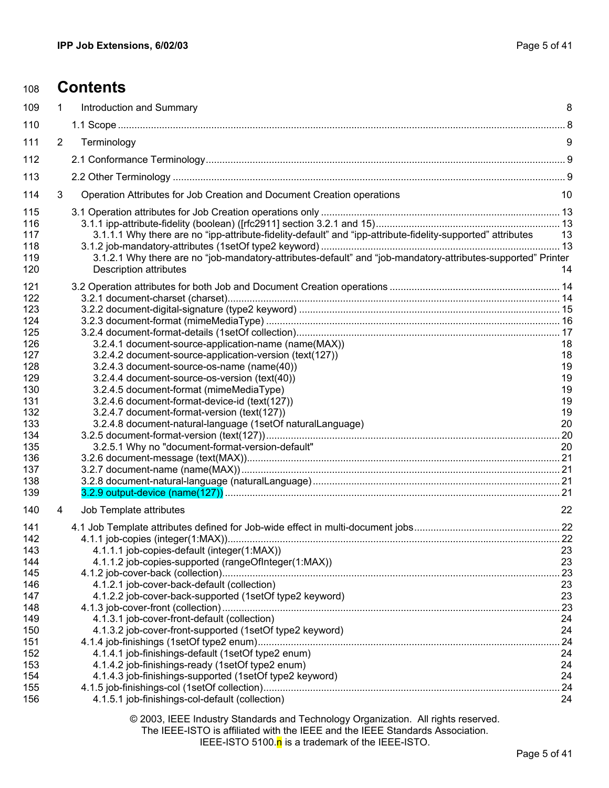# <sup>108</sup>**Contents**

| 109                                                                                                                               | $\mathbf{1}$   | Introduction and Summary                                                                                                                                                                                                                                                                                                                                                                                                                                                                       | 8                                                               |
|-----------------------------------------------------------------------------------------------------------------------------------|----------------|------------------------------------------------------------------------------------------------------------------------------------------------------------------------------------------------------------------------------------------------------------------------------------------------------------------------------------------------------------------------------------------------------------------------------------------------------------------------------------------------|-----------------------------------------------------------------|
| 110                                                                                                                               |                |                                                                                                                                                                                                                                                                                                                                                                                                                                                                                                |                                                                 |
| 111                                                                                                                               | $\overline{2}$ | Terminology                                                                                                                                                                                                                                                                                                                                                                                                                                                                                    | 9                                                               |
| 112                                                                                                                               |                |                                                                                                                                                                                                                                                                                                                                                                                                                                                                                                |                                                                 |
| 113                                                                                                                               |                |                                                                                                                                                                                                                                                                                                                                                                                                                                                                                                |                                                                 |
| 114                                                                                                                               | 3              | Operation Attributes for Job Creation and Document Creation operations                                                                                                                                                                                                                                                                                                                                                                                                                         | 10                                                              |
| 115<br>116<br>117<br>118<br>119<br>120                                                                                            |                | 3.1.1.1 Why there are no "ipp-attribute-fidelity-default" and "ipp-attribute-fidelity-supported" attributes<br>3.1.2.1 Why there are no "job-mandatory-attributes-default" and "job-mandatory-attributes-supported" Printer<br><b>Description attributes</b>                                                                                                                                                                                                                                   | -13<br>14                                                       |
| 121<br>122<br>123<br>124<br>125<br>126<br>127<br>128<br>129<br>130<br>131<br>132<br>133<br>134<br>135<br>136<br>137<br>138<br>139 |                | 3.2.4.1 document-source-application-name (name(MAX))<br>3.2.4.2 document-source-application-version (text(127))<br>3.2.4.3 document-source-os-name (name(40))<br>3.2.4.4 document-source-os-version (text(40))<br>3.2.4.5 document-format (mimeMediaType)<br>3.2.4.6 document-format-device-id (text(127))<br>3.2.4.7 document-format-version (text(127))<br>3.2.4.8 document-natural-language (1setOf naturalLanguage)<br>3.2.5.1 Why no "document-format-version-default"                    | 18<br>18<br>19<br>19<br>19<br>19<br>19<br>20<br>20              |
| 140                                                                                                                               | 4              | Job Template attributes                                                                                                                                                                                                                                                                                                                                                                                                                                                                        | 22                                                              |
| 141<br>142<br>143<br>144<br>145<br>146<br>147<br>148<br>149<br>150<br>151<br>152<br>153<br>154<br>155                             |                | 4.1.1.1 job-copies-default (integer(1:MAX))<br>4.1.1.2 job-copies-supported (rangeOfInteger(1:MAX))<br>4.1.2.1 job-cover-back-default (collection)<br>4.1.2.2 job-cover-back-supported (1setOf type2 keyword)<br>4.1.3.1 job-cover-front-default (collection)<br>4.1.3.2 job-cover-front-supported (1setOf type2 keyword)<br>4.1.4.1 job-finishings-default (1setOf type2 enum)<br>4.1.4.2 job-finishings-ready (1setOf type2 enum)<br>4.1.4.3 job-finishings-supported (1setOf type2 keyword) | 23<br>23<br>23<br>23<br>23<br>24<br>24<br>24<br>24<br>24<br>.24 |
| 156                                                                                                                               |                | 4.1.5.1 job-finishings-col-default (collection)<br>© 2003, IEEE Industry Standards and Technology Organization. All rights reserved.                                                                                                                                                                                                                                                                                                                                                           | 24                                                              |

The IEEE-ISTO is affiliated with the IEEE and the IEEE Standards Association.

IEEE-ISTO 5100.n is a trademark of the IEEE-ISTO.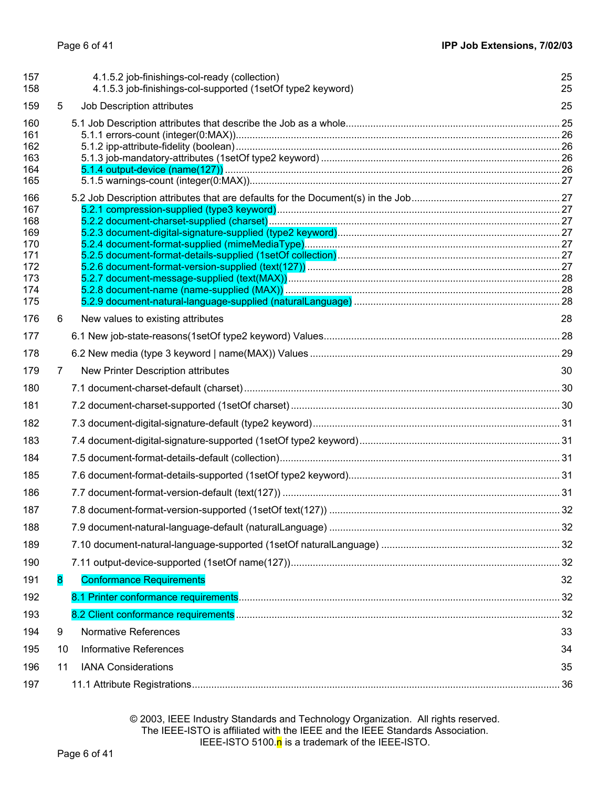| 157<br>158                                                         |    | 4.1.5.2 job-finishings-col-ready (collection)<br>4.1.5.3 job-finishings-col-supported (1setOf type2 keyword) | 25<br>25 |
|--------------------------------------------------------------------|----|--------------------------------------------------------------------------------------------------------------|----------|
| 159                                                                | 5  | Job Description attributes                                                                                   | 25       |
| 160<br>161<br>162<br>163<br>164<br>165                             |    |                                                                                                              |          |
| 166<br>167<br>168<br>169<br>170<br>171<br>172<br>173<br>174<br>175 |    |                                                                                                              |          |
| 176                                                                | 6  | New values to existing attributes                                                                            | 28       |
| 177                                                                |    |                                                                                                              |          |
| 178                                                                |    |                                                                                                              |          |
| 179                                                                | 7  | New Printer Description attributes                                                                           | 30       |
| 180                                                                |    |                                                                                                              |          |
| 181                                                                |    |                                                                                                              |          |
| 182                                                                |    |                                                                                                              |          |
| 183                                                                |    |                                                                                                              |          |
| 184                                                                |    |                                                                                                              |          |
| 185                                                                |    |                                                                                                              |          |
| 186                                                                |    |                                                                                                              |          |
| 187                                                                |    |                                                                                                              |          |
| 188                                                                |    |                                                                                                              |          |
| 189                                                                |    |                                                                                                              |          |
| 190                                                                |    |                                                                                                              |          |
| 191                                                                | 8  | <b>Conformance Requirements</b>                                                                              | 32       |
| 192                                                                |    |                                                                                                              |          |
| 193                                                                |    |                                                                                                              |          |
| 194                                                                | 9  | Normative References                                                                                         | 33       |
| 195                                                                | 10 | <b>Informative References</b>                                                                                | 34       |
| 196                                                                | 11 | <b>IANA Considerations</b>                                                                                   | 35       |
| 197                                                                |    |                                                                                                              | 36       |

© 2003, IEEE Industry Standards and Technology Organization. All rights reserved. The IEEE-ISTO is affiliated with the IEEE and the IEEE Standards Association. IEEE-ISTO 5100.n is a trademark of the IEEE-ISTO.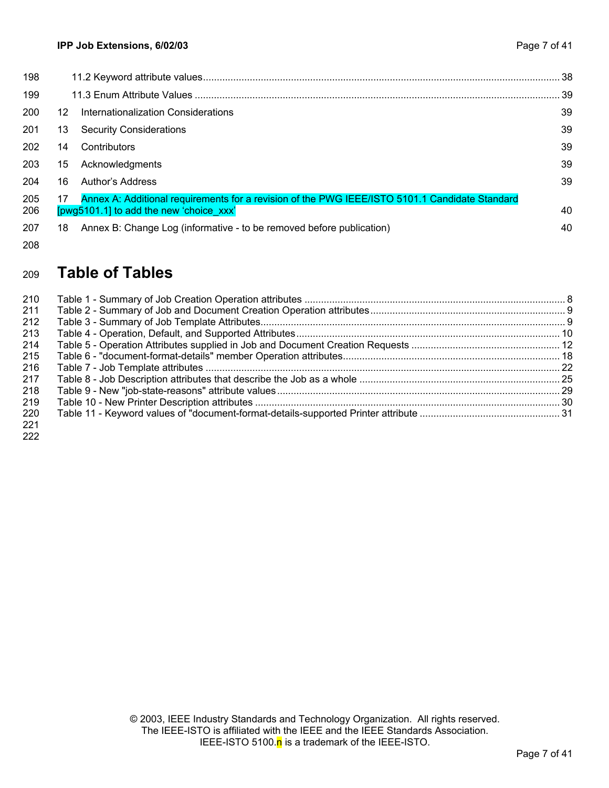| 198        |    |                                                                                                                                           | -38 |
|------------|----|-------------------------------------------------------------------------------------------------------------------------------------------|-----|
| 199        |    |                                                                                                                                           | 39  |
| 200        | 12 | Internationalization Considerations                                                                                                       | 39  |
| 201        | 13 | <b>Security Considerations</b>                                                                                                            | 39  |
| 202        | 14 | Contributors                                                                                                                              | 39  |
| 203        | 15 | Acknowledgments                                                                                                                           | 39  |
| 204        | 16 | Author's Address                                                                                                                          | 39  |
| 205<br>206 | 17 | Annex A: Additional requirements for a revision of the PWG IEEE/ISTO 5101.1 Candidate Standard<br>[pwg5101.1] to add the new 'choice xxx' | 40  |
| 207        | 18 | Annex B: Change Log (informative - to be removed before publication)                                                                      | 40  |
|            |    |                                                                                                                                           |     |

### 208

#### 209 **Table of Tables**

| 210 |  |
|-----|--|
| 211 |  |
| 212 |  |
| 213 |  |
| 214 |  |
| 215 |  |
| 216 |  |
| 217 |  |
| 218 |  |
| 219 |  |
| 220 |  |
| 221 |  |
|     |  |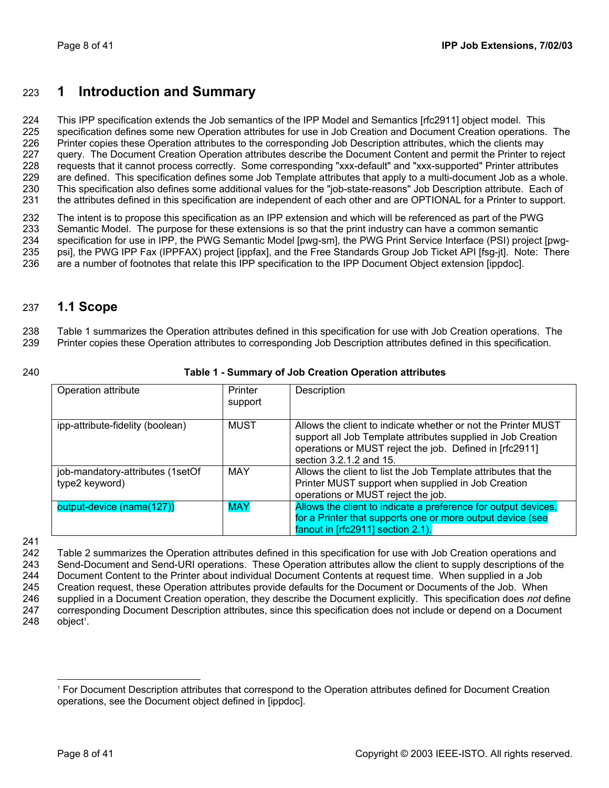# <span id="page-7-0"></span>223 **1 Introduction and Summary**

224 225 226 227 228 229 230 231 This IPP specification extends the Job semantics of the IPP Model and Semantics [rfc2911] object model. This specification defines some new Operation attributes for use in Job Creation and Document Creation operations. The Printer copies these Operation attributes to the corresponding Job Description attributes, which the clients may query. The Document Creation Operation attributes describe the Document Content and permit the Printer to reject requests that it cannot process correctly. Some corresponding "xxx-default" and "xxx-supported" Printer attributes are defined. This specification defines some Job Template attributes that apply to a multi-document Job as a whole. This specification also defines some additional values for the "job-state-reasons" Job Description attribute. Each of the attributes defined in this specification are independent of each other and are OPTIONAL for a Printer to support.

232 233 234 235 236 The intent is to propose this specification as an IPP extension and which will be referenced as part of the PWG Semantic Model. The purpose for these extensions is so that the print industry can have a common semantic specification for use in IPP, the PWG Semantic Model [pwg-sm], the PWG Print Service Interface (PSI) project [pwgpsi], the PWG IPP Fax (IPPFAX) project [ippfax], and the Free Standards Group Job Ticket API [fsg-jt]. Note: There are a number of footnotes that relate this IPP specification to the IPP Document Object extension [ippdoc].

#### 237 **1.1 Scope**

238 239 [Table 1](#page-7-1) summarizes the Operation attributes defined in this specification for use with Job Creation operations. The Printer copies these Operation attributes to corresponding Job Description attributes defined in this specification.

### <span id="page-7-1"></span>**Table 1 - Summary of Job Creation Operation attributes**

| Operation attribute                                | Printer<br>support | Description                                                                                                                                                                                                         |
|----------------------------------------------------|--------------------|---------------------------------------------------------------------------------------------------------------------------------------------------------------------------------------------------------------------|
| ipp-attribute-fidelity (boolean)                   | <b>MUST</b>        | Allows the client to indicate whether or not the Printer MUST<br>support all Job Template attributes supplied in Job Creation<br>operations or MUST reject the job. Defined in [rfc2911]<br>section 3.2.1.2 and 15. |
| job-mandatory-attributes (1setOf<br>type2 keyword) | MAY                | Allows the client to list the Job Template attributes that the<br>Printer MUST support when supplied in Job Creation<br>operations or MUST reject the job.                                                          |
| output-device (name(127))                          | <b>MAY</b>         | Allows the client to indicate a preference for output devices,<br>for a Printer that supports one or more output device (see<br>fanout in [rfc2911] section 2.1).                                                   |

241

242 243 244 245 246 247 248 [Table 2](#page-8-1) summarizes the Operation attributes defined in this specification for use with Job Creation operations and Send-Document and Send-URI operations. These Operation attributes allow the client to supply descriptions of the Document Content to the Printer about individual Document Contents at request time. When supplied in a Job Creation request, these Operation attributes provide defaults for the Document or Documents of the Job. When supplied in a Document Creation operation, they describe the Document explicitly. This specification does *not* define corresponding Document Description attributes, since this specification does not include or depend on a Document object 1 [.](#page-7-2)

 $\overline{a}$ 

<span id="page-7-2"></span><sup>1</sup> For Document Description attributes that correspond to the Operation attributes defined for Document Creation operations, see the Document object defined in [ippdoc].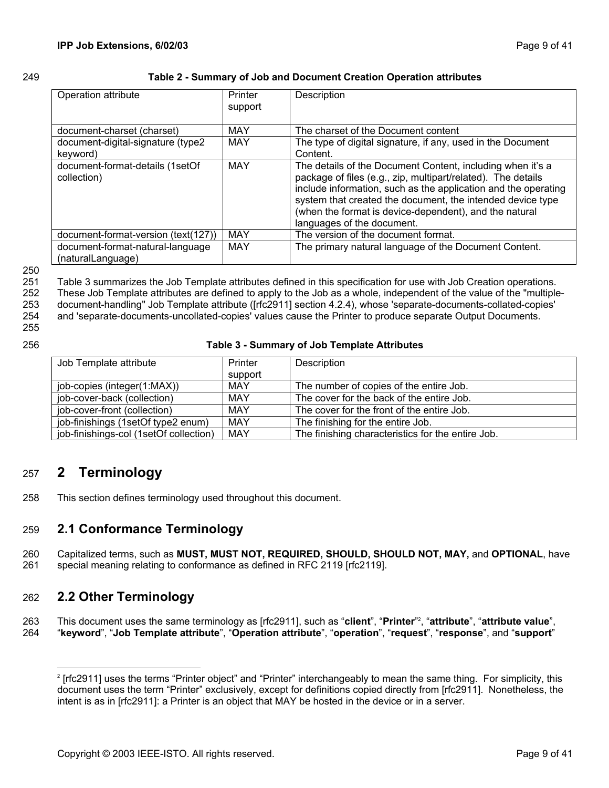### <span id="page-8-0"></span>249 **Table 2 - Summary of Job and Document Creation Operation attributes**

<span id="page-8-1"></span>

| Operation attribute                                   | Printer<br>support | Description                                                                                                                                                                                                                                                                                                                                        |
|-------------------------------------------------------|--------------------|----------------------------------------------------------------------------------------------------------------------------------------------------------------------------------------------------------------------------------------------------------------------------------------------------------------------------------------------------|
| document-charset (charset)                            | MAY                | The charset of the Document content                                                                                                                                                                                                                                                                                                                |
| document-digital-signature (type2<br>keyword)         | MAY                | The type of digital signature, if any, used in the Document<br>Content.                                                                                                                                                                                                                                                                            |
| document-format-details (1setOf<br>collection)        | <b>MAY</b>         | The details of the Document Content, including when it's a<br>package of files (e.g., zip, multipart/related). The details<br>include information, such as the application and the operating<br>system that created the document, the intended device type<br>(when the format is device-dependent), and the natural<br>languages of the document. |
| document-format-version (text(127))                   | <b>MAY</b>         | The version of the document format.                                                                                                                                                                                                                                                                                                                |
| document-format-natural-language<br>(naturalLanguage) | MAY                | The primary natural language of the Document Content.                                                                                                                                                                                                                                                                                              |

250

251 252 253 [Table 3](#page-8-2) summarizes the Job Template attributes defined in this specification for use with Job Creation operations. These Job Template attributes are defined to apply to the Job as a whole, independent of the value of the "multipledocument-handling" Job Template attribute ([rfc2911] section 4.2.4), whose 'separate-documents-collated-copies'

254 255 and 'separate-documents-uncollated-copies' values cause the Printer to produce separate Output Documents.

256

### <span id="page-8-2"></span>**Table 3 - Summary of Job Template Attributes**

| Job Template attribute                 | Printer | Description                                       |
|----------------------------------------|---------|---------------------------------------------------|
|                                        | support |                                                   |
| job-copies (integer(1:MAX))            | MAY     | The number of copies of the entire Job.           |
| job-cover-back (collection)            | MAY     | The cover for the back of the entire Job.         |
| job-cover-front (collection)           | MAY     | The cover for the front of the entire Job.        |
| job-finishings (1setOf type2 enum)     | MAY     | The finishing for the entire Job.                 |
| job-finishings-col (1setOf collection) | MAY     | The finishing characteristics for the entire Job. |

# 257 **2 Terminology**

258 This section defines terminology used throughout this document.

#### 259 **2.1 Conformance Terminology**

260 261 Capitalized terms, such as **MUST, MUST NOT, REQUIRED, SHOULD, SHOULD NOT, MAY,** and **OPTIONAL**, have special meaning relating to conformance as defined in RFC 2119 [rfc2119].

#### 262 **2.2 Other Terminology**

l

263 264 This document uses the same terminology as [rfc2911], such as "**client**", "**Printer**" 2 [,](#page-8-3) "**attribute**", "**attribute value**", "**keyword**", "**Job Template attribute**", "**Operation attribute**", "**operation**", "**request**", "**response**", and "**support**"

<span id="page-8-3"></span><sup>2</sup> [rfc2911] uses the terms "Printer object" and "Printer" interchangeably to mean the same thing. For simplicity, this document uses the term "Printer" exclusively, except for definitions copied directly from [rfc2911]. Nonetheless, the intent is as in [rfc2911]: a Printer is an object that MAY be hosted in the device or in a server.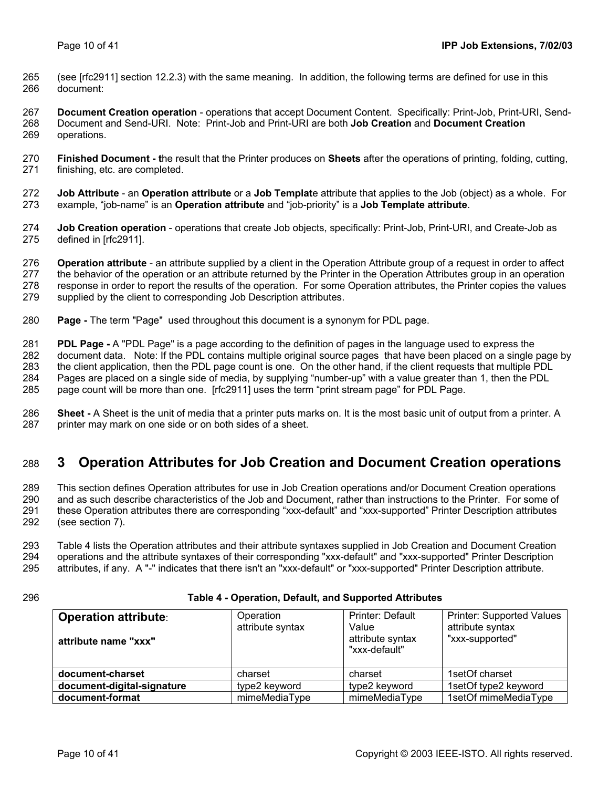- <span id="page-9-0"></span>265 266 (see [rfc2911] section 12.2.3) with the same meaning. In addition, the following terms are defined for use in this document:
- 267 268 269 **Document Creation operation** - operations that accept Document Content. Specifically: Print-Job, Print-URI, Send-Document and Send-URI. Note: Print-Job and Print-URI are both **Job Creation** and **Document Creation** operations.
- 270 271 **Finished Document - t**he result that the Printer produces on **Sheets** after the operations of printing, folding, cutting, finishing, etc. are completed.
- 272 273 **Job Attribute** - an **Operation attribute** or a **Job Templat**e attribute that applies to the Job (object) as a whole. For example, "job-name" is an **Operation attribute** and "job-priority" is a **Job Template attribute**.
- 274 275 **Job Creation operation** - operations that create Job objects, specifically: Print-Job, Print-URI, and Create-Job as defined in [rfc2911].
- 276 277 278 279 **Operation attribute** - an attribute supplied by a client in the Operation Attribute group of a request in order to affect the behavior of the operation or an attribute returned by the Printer in the Operation Attributes group in an operation response in order to report the results of the operation. For some Operation attributes, the Printer copies the values supplied by the client to corresponding Job Description attributes.
- 280 **Page -** The term "Page" used throughout this document is a synonym for PDL page.

281 282 283 284 285 **PDL Page -** A "PDL Page" is a page according to the definition of pages in the language used to express the document data. Note: If the PDL contains multiple original source pages that have been placed on a single page by the client application, then the PDL page count is one. On the other hand, if the client requests that multiple PDL Pages are placed on a single side of media, by supplying "number-up" with a value greater than 1, then the PDL page count will be more than one. [rfc2911] uses the term "print stream page" for PDL Page.

286 287 **Sheet -** A Sheet is the unit of media that a printer puts marks on. It is the most basic unit of output from a printer. A printer may mark on one side or on both sides of a sheet.

#### <span id="page-9-2"></span>288 **3 Operation Attributes for Job Creation and Document Creation operations**

289 290 291 292 This section defines Operation attributes for use in Job Creation operations and/or Document Creation operations and as such describe characteristics of the Job and Document, rather than instructions to the Printer. For some of these Operation attributes there are corresponding "xxx-default" and "xxx-supported" Printer Description attributes (see section [7\)](#page-29-1).

293 294 295 [Table 4](#page-9-1) lists the Operation attributes and their attribute syntaxes supplied in Job Creation and Document Creation operations and the attribute syntaxes of their corresponding "xxx-default" and "xxx-supported" Printer Description attributes, if any. A "-" indicates that there isn't an "xxx-default" or "xxx-supported" Printer Description attribute.

### 296

### <span id="page-9-1"></span>**Table 4 - Operation, Default, and Supported Attributes**

| <b>Operation attribute:</b> | Operation        | Printer: Default                           | <b>Printer: Supported Values</b>    |
|-----------------------------|------------------|--------------------------------------------|-------------------------------------|
| attribute name "xxx"        | attribute syntax | Value<br>attribute syntax<br>"xxx-default" | attribute syntax<br>"xxx-supported" |
| document-charset            | charset          | charset                                    | 1setOf charset                      |
| document-digital-signature  | type2 keyword    | type2 keyword                              | 1setOf type2 keyword                |
| document-format             | mimeMediaType    | mimeMediaType                              | 1setOf mimeMediaType                |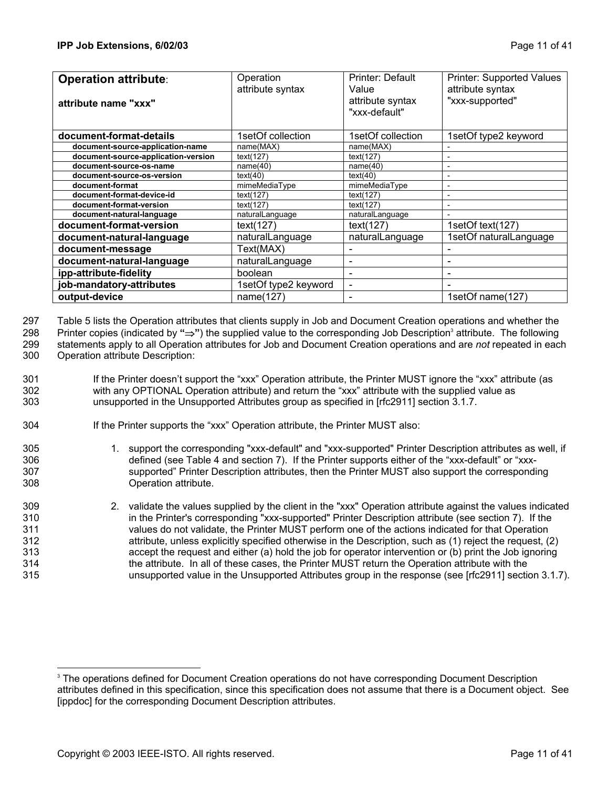| <b>Operation attribute:</b><br>attribute name "xxx" | Operation<br>attribute syntax | Printer: Default<br>Value<br>attribute syntax<br>"xxx-default" | Printer: Supported Values<br>attribute syntax<br>"xxx-supported" |
|-----------------------------------------------------|-------------------------------|----------------------------------------------------------------|------------------------------------------------------------------|
| document-format-details                             | 1setOf collection             | 1setOf collection                                              | 1setOf type2 keyword                                             |
| document-source-application-name                    | name(MAX)                     | name(MAX)                                                      |                                                                  |
| document-source-application-version                 | text(127)                     | text(127)                                                      |                                                                  |
| document-source-os-name                             | name(40)                      | name(40)                                                       | ۰                                                                |
| document-source-os-version                          | text(40)                      | text(40)                                                       | $\overline{\phantom{0}}$                                         |
| document-format                                     | mimeMediaType                 | mimeMediaType                                                  | ۰                                                                |
| document-format-device-id                           | text(127)                     | text(127)                                                      | ۰                                                                |
| document-format-version                             | text(127)                     | text(127)                                                      |                                                                  |
| document-natural-language                           | naturalLanguage               | naturalLanguage                                                |                                                                  |
| document-format-version                             | text(127)                     | text(127)                                                      | 1setOf text(127)                                                 |
| document-natural-language                           | naturalLanguage               | naturalLanguage                                                | 1setOf naturalLanguage                                           |
| document-message                                    | Text(MAX)                     |                                                                |                                                                  |
| document-natural-language                           | naturalLanguage               |                                                                |                                                                  |
| ipp-attribute-fidelity                              | boolean                       |                                                                |                                                                  |
| job-mandatory-attributes                            | 1setOf type2 keyword          | $\blacksquare$                                                 |                                                                  |
| output-device                                       | name(127)                     | $\overline{\phantom{0}}$                                       | 1setOf name(127)                                                 |

[Table 5](#page-11-1) lists the Operation attributes that clients supply in Job and Document Creation operations and whether the 297

Printer copies (indicated by "⇒") the supplied value to the corresponding Job Description<sup>[3](#page-10-0)</sup> attribute. The following 298

299 300 statements apply to all Operation attributes for Job and Document Creation operations and are *not* repeated in each

Operation attribute Description:

- 301 302 303 If the Printer doesn't support the "xxx" Operation attribute, the Printer MUST ignore the "xxx" attribute (as with any OPTIONAL Operation attribute) and return the "xxx" attribute with the supplied value as unsupported in the Unsupported Attributes group as specified in [rfc2911] section 3.1.7.
- 304 If the Printer supports the "xxx" Operation attribute, the Printer MUST also:
- 305 306 307 308 1. support the corresponding "xxx-default" and "xxx-supported" Printer Description attributes as well, if defined (see [Table 4](#page-9-1) and section [7\)](#page-29-1). If the Printer supports either of the "xxx-default" or "xxxsupported" Printer Description attributes, then the Printer MUST also support the corresponding Operation attribute.
- 309 310 311 312 313 314 315 2. validate the values supplied by the client in the "xxx" Operation attribute against the values indicated in the Printer's corresponding "xxx-supported" Printer Description attribute (see section [7\)](#page-29-1). If the values do not validate, the Printer MUST perform one of the actions indicated for that Operation attribute, unless explicitly specified otherwise in the Description, such as (1) reject the request, (2) accept the request and either (a) hold the job for operator intervention or (b) print the Job ignoring the attribute. In all of these cases, the Printer MUST return the Operation attribute with the unsupported value in the Unsupported Attributes group in the response (see [rfc2911] section 3.1.7).

l

<span id="page-10-0"></span><sup>&</sup>lt;sup>3</sup> The operations defined for Document Creation operations do not have corresponding Document Description attributes defined in this specification, since this specification does not assume that there is a Document object. See [ippdoc] for the corresponding Document Description attributes.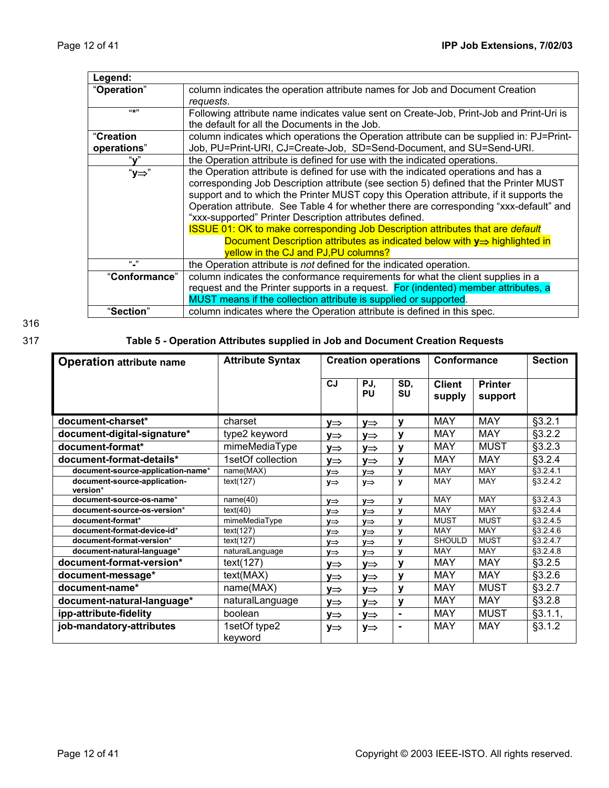<span id="page-11-0"></span>

| Legend:       |                                                                                         |
|---------------|-----------------------------------------------------------------------------------------|
| "Operation"   | column indicates the operation attribute names for Job and Document Creation            |
|               | requests.                                                                               |
| $(4 + 1)$     | Following attribute name indicates value sent on Create-Job, Print-Job and Print-Uri is |
|               | the default for all the Documents in the Job.                                           |
| "Creation     | column indicates which operations the Operation attribute can be supplied in: PJ=Print- |
| operations"   | Job, PU=Print-URI, CJ=Create-Job, SD=Send-Document, and SU=Send-URI.                    |
| "ν"           | the Operation attribute is defined for use with the indicated operations.               |
| "y⇒"          | the Operation attribute is defined for use with the indicated operations and has a      |
|               | corresponding Job Description attribute (see section 5) defined that the Printer MUST   |
|               | support and to which the Printer MUST copy this Operation attribute, if it supports the |
|               | Operation attribute. See Table 4 for whether there are corresponding "xxx-default" and  |
|               | "xxx-supported" Printer Description attributes defined.                                 |
|               | <b>ISSUE 01: OK to make corresponding Job Description attributes that are default</b>   |
|               | Document Description attributes as indicated below with $y \Rightarrow$ highlighted in  |
|               | yellow in the CJ and PJ, PU columns?                                                    |
| $\frac{1}{2}$ | the Operation attribute is not defined for the indicated operation.                     |
| "Conformance" | column indicates the conformance requirements for what the client supplies in a         |
|               | request and the Printer supports in a request. For (indented) member attributes, a      |
|               | MUST means if the collection attribute is supplied or supported.                        |
| "Section"     | column indicates where the Operation attribute is defined in this spec.                 |

316

# 317 **Table 5 - Operation Attributes supplied in Job and Document Creation Requests**

<span id="page-11-1"></span>

| <b>Operation attribute name</b>          | <b>Attribute Syntax</b> | <b>Creation operations</b> |                  | Conformance  |                         | <b>Section</b>            |                     |
|------------------------------------------|-------------------------|----------------------------|------------------|--------------|-------------------------|---------------------------|---------------------|
|                                          |                         | <b>CJ</b>                  | PJ,<br><b>PU</b> | SD.<br>SU    | <b>Client</b><br>supply | <b>Printer</b><br>support |                     |
| document-charset*                        | charset                 | V⇒                         | V⇒               | ۷            | <b>MAY</b>              | <b>MAY</b>                | §3.2.1              |
| document-digital-signature*              | type2 keyword           | V⇒                         | y⇒               | v            | <b>MAY</b>              | <b>MAY</b>                | §3.2.2              |
| document-format*                         | mimeMediaType           | V⇒                         | v⇒               | v            | <b>MAY</b>              | <b>MUST</b>               | §3.2.3              |
| document-format-details*                 | 1setOf collection       | y⇒                         | V⇒               | y            | <b>MAY</b>              | MAY                       | $$3.2.\overline{4}$ |
| document-source-application-name*        | name(MAX)               | $y \Rightarrow$            | $y \Rightarrow$  | $\mathbf{v}$ | <b>MAY</b>              | <b>MAY</b>                | §3.2.4.1            |
| document-source-application-<br>version* | text(127)               | $y \Rightarrow$            | y⇒               | $\mathbf{v}$ | <b>MAY</b>              | <b>MAY</b>                | §3.2.4.2            |
| document-source-os-name*                 | name(40)                | y⇒                         | y⇒               | y            | MAY                     | <b>MAY</b>                | §3.2.4.3            |
| document-source-os-version*              | text(40)                | $y \Rightarrow$            | y⇒               | $\mathbf{v}$ | <b>MAY</b>              | <b>MAY</b>                | §3.2.4.4            |
| document-format*                         | mimeMediaType           | $y \Rightarrow$            | $y \Rightarrow$  | $\mathbf{v}$ | <b>MUST</b>             | <b>MUST</b>               | \$3.2.4.5           |
| document-format-device-id*               | text(127)               | $y \Rightarrow$            | y⇒               | V            | <b>MAY</b>              | MAY                       | §3.2.4.6            |
| document-format-version*                 | text(127)               | $V \Rightarrow$            | y⇒               | $\mathbf{v}$ | <b>SHOULD</b>           | <b>MUST</b>               | §3.2.4.7            |
| document-natural-language*               | naturalLanguage         | y⇒                         | y⇒               | $\mathbf{v}$ | <b>MAY</b>              | <b>MAY</b>                | \$3.2.4.8           |
| document-format-version*                 | text(127)               | V⇒                         | y⇒               | V            | <b>MAY</b>              | <b>MAY</b>                | $$3.2.\overline{5}$ |
| document-message*                        | text(MAX)               | y⇒                         | y⇒               | y            | <b>MAY</b>              | <b>MAY</b>                | $$3.2.\overline{6}$ |
| document-name*                           | name(MAX)               | y⇒                         | y⇒               | y            | <b>MAY</b>              | <b>MUST</b>               | §3.2.7              |
| document-natural-language*               | naturalLanguage         | y⇒                         | y⇒               | y            | <b>MAY</b>              | <b>MAY</b>                | §3.2.8              |
| ipp-attribute-fidelity                   | boolean                 | y⇒                         | y⇒               | ٠            | <b>MAY</b>              | <b>MUST</b>               | §3.1.1,             |
| job-mandatory-attributes                 | 1setOf type2<br>keyword | y⇒                         | y⇒               | ٠            | <b>MAY</b>              | <b>MAY</b>                | §3.1.2              |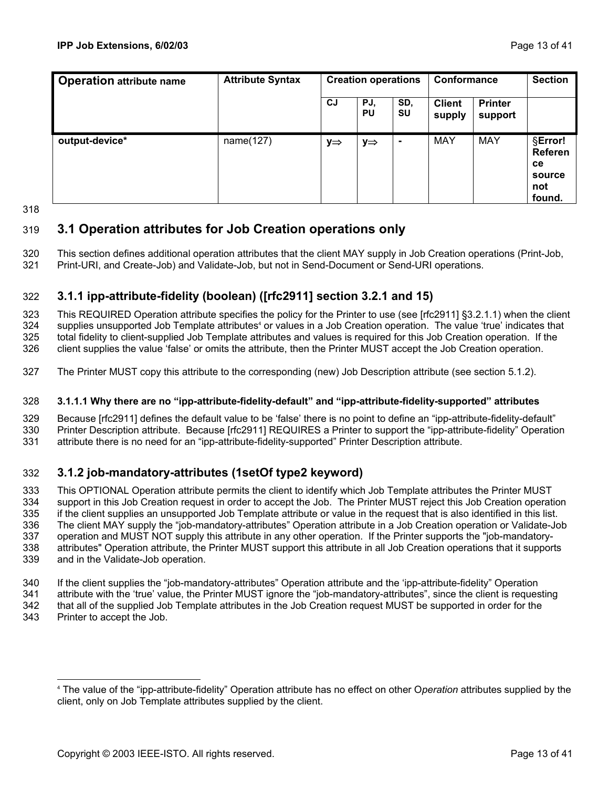<span id="page-12-0"></span>

| <b>Operation attribute name</b> | <b>Attribute Syntax</b> | <b>Creation operations</b> |                 | Conformance      |                         | <b>Section</b>            |                                                            |
|---------------------------------|-------------------------|----------------------------|-----------------|------------------|-------------------------|---------------------------|------------------------------------------------------------|
|                                 |                         | <b>CJ</b>                  | PJ,<br>PU       | SD,<br><b>SU</b> | <b>Client</b><br>supply | <b>Printer</b><br>support |                                                            |
| output-device*                  | name(127)               | y⇒                         | $y \Rightarrow$ | $\blacksquare$   | MAY                     | MAY                       | §Error!<br>Referen<br><b>ce</b><br>source<br>not<br>found. |

318

#### 319 **3.1 Operation attributes for Job Creation operations only**

320 321 This section defines additional operation attributes that the client MAY supply in Job Creation operations (Print-Job, Print-URI, and Create-Job) and Validate-Job, but not in Send-Document or Send-URI operations.

#### <span id="page-12-1"></span>322 **3.1.1 ipp-attribute-fidelity (boolean) ([rfc2911] section 3.2.1 and 15)**

323 324 325 326 This REQUIRED Operation attribute specifies the policy for the Printer to use (see [rfc2911] §3.2.1.1) when the client supplies unsupported Job Template attributes<sup>[4](#page-12-3)</sup> or values in a Job Creation operation. The value 'true' indicates that total fidelity to client-supplied Job Template attributes and values is required for this Job Creation operation. If the client supplies the value 'false' or omits the attribute, then the Printer MUST accept the Job Creation operation.

327 The Printer MUST copy this attribute to the corresponding (new) Job Description attribute (see section [5.1.2\)](#page-25-1).

#### 328 **3.1.1.1 Why there are no "ipp-attribute-fidelity-default" and "ipp-attribute-fidelity-supported" attributes**

329 330 331 Because [rfc2911] defines the default value to be 'false' there is no point to define an "ipp-attribute-fidelity-default" Printer Description attribute. Because [rfc2911] REQUIRES a Printer to support the "ipp-attribute-fidelity" Operation attribute there is no need for an "ipp-attribute-fidelity-supported" Printer Description attribute.

#### <span id="page-12-2"></span>332 **3.1.2 job-mandatory-attributes (1setOf type2 keyword)**

333 334 335 336 337 338 339 This OPTIONAL Operation attribute permits the client to identify which Job Template attributes the Printer MUST support in this Job Creation request in order to accept the Job. The Printer MUST reject this Job Creation operation if the client supplies an unsupported Job Template attribute or value in the request that is also identified in this list. The client MAY supply the "job-mandatory-attributes" Operation attribute in a Job Creation operation or Validate-Job operation and MUST NOT supply this attribute in any other operation. If the Printer supports the "job-mandatoryattributes" Operation attribute, the Printer MUST support this attribute in all Job Creation operations that it supports and in the Validate-Job operation.

340 341 342 If the client supplies the "job-mandatory-attributes" Operation attribute and the 'ipp-attribute-fidelity" Operation attribute with the 'true' value, the Printer MUST ignore the "job-mandatory-attributes", since the client is requesting that all of the supplied Job Template attributes in the Job Creation request MUST be supported in order for the

343 Printer to accept the Job.

<span id="page-12-3"></span> $\overline{a}$ 4 The value of the "ipp-attribute-fidelity" Operation attribute has no effect on other O*peration* attributes supplied by the client, only on Job Template attributes supplied by the client.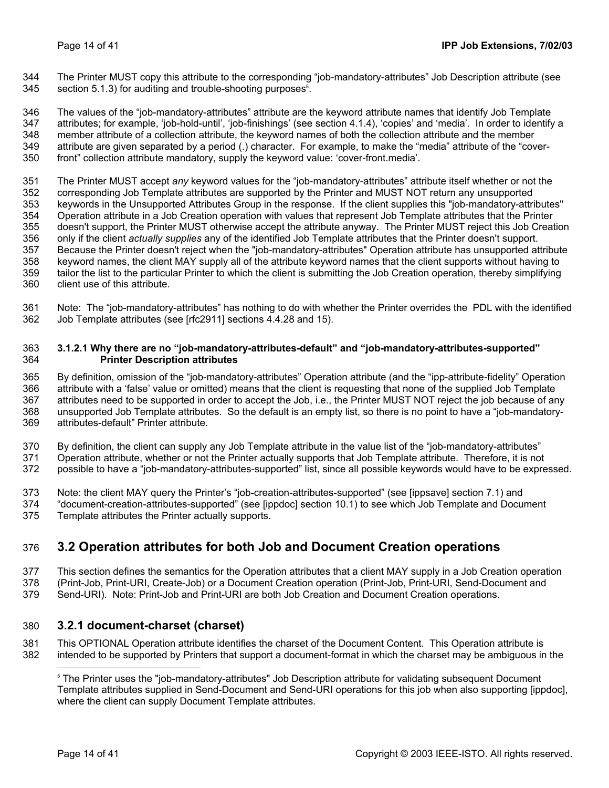<span id="page-13-0"></span>The Printer MUST copy this attribute to the corresponding "job-mandatory-attributes" Job Description attribute (see section [5.1.3\)](#page-25-2) for auditing and trouble-shooting purposes<sup>5</sup>[.](#page-13-2) 344 345

346 347 348 349 350 The values of the "job-mandatory-attributes" attribute are the keyword attribute names that identify Job Template attributes; for example, 'job-hold-until', 'job-finishings' (see section [4.1.4\)](#page-23-1), 'copies' and 'media'. In order to identify a member attribute of a collection attribute, the keyword names of both the collection attribute and the member attribute are given separated by a period (.) character. For example, to make the "media" attribute of the "coverfront" collection attribute mandatory, supply the keyword value: 'cover-front.media'.

351 352 353 354 355 356 357 358 359 360 The Printer MUST accept *any* keyword values for the "job-mandatory-attributes" attribute itself whether or not the corresponding Job Template attributes are supported by the Printer and MUST NOT return any unsupported keywords in the Unsupported Attributes Group in the response. If the client supplies this "job-mandatory-attributes" Operation attribute in a Job Creation operation with values that represent Job Template attributes that the Printer doesn't support, the Printer MUST otherwise accept the attribute anyway. The Printer MUST reject this Job Creation only if the client *actually supplies* any of the identified Job Template attributes that the Printer doesn't support. Because the Printer doesn't reject when the "job-mandatory-attributes" Operation attribute has unsupported attribute keyword names, the client MAY supply all of the attribute keyword names that the client supports without having to tailor the list to the particular Printer to which the client is submitting the Job Creation operation, thereby simplifying client use of this attribute.

361 362 Note: The "job-mandatory-attributes" has nothing to do with whether the Printer overrides the PDL with the identified Job Template attributes (see [rfc2911] sections 4.4.28 and 15).

#### 363 364 **3.1.2.1 Why there are no "job-mandatory-attributes-default" and "job-mandatory-attributes-supported" Printer Description attributes**

365 366 367 368 369 By definition, omission of the "job-mandatory-attributes" Operation attribute (and the "ipp-attribute-fidelity" Operation attribute with a 'false' value or omitted) means that the client is requesting that none of the supplied Job Template attributes need to be supported in order to accept the Job, i.e., the Printer MUST NOT reject the job because of any unsupported Job Template attributes. So the default is an empty list, so there is no point to have a "job-mandatoryattributes-default" Printer attribute.

370 371 372 By definition, the client can supply any Job Template attribute in the value list of the "job-mandatory-attributes" Operation attribute, whether or not the Printer actually supports that Job Template attribute. Therefore, it is not possible to have a "job-mandatory-attributes-supported" list, since all possible keywords would have to be expressed.

- 373 Note: the client MAY query the Printer's "job-creation-attributes-supported" (see [ippsave] section 7.1) and
- 374 375 "document-creation-attributes-supported" (see [ippdoc] section 10.1) to see which Job Template and Document Template attributes the Printer actually supports.

#### <span id="page-13-3"></span>376 **3.2 Operation attributes for both Job and Document Creation operations**

- 377 This section defines the semantics for the Operation attributes that a client MAY supply in a Job Creation operation
- 378 (Print-Job, Print-URI, Create-Job) or a Document Creation operation (Print-Job, Print-URI, Send-Document and
- 379 Send-URI). Note: Print-Job and Print-URI are both Job Creation and Document Creation operations.

#### 380 **3.2.1 document-charset (charset)**

381 382 This OPTIONAL Operation attribute identifies the charset of the Document Content. This Operation attribute is intended to be supported by Printers that support a document-format in which the charset may be ambiguous in the

<span id="page-13-1"></span>l

<span id="page-13-2"></span><sup>5</sup> The Printer uses the "job-mandatory-attributes" Job Description attribute for validating subsequent Document Template attributes supplied in Send-Document and Send-URI operations for this job when also supporting [ippdoc], where the client can supply Document Template attributes.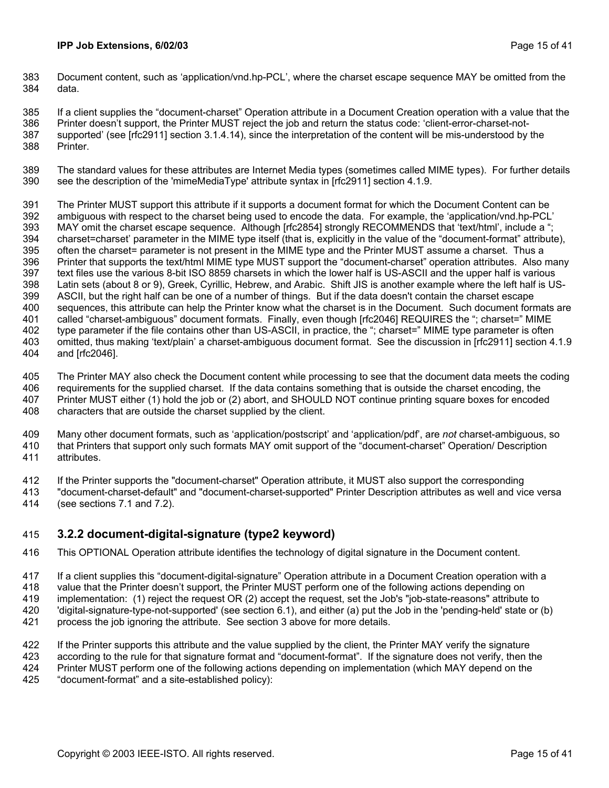<span id="page-14-0"></span>383 384 Document content, such as 'application/vnd.hp-PCL', where the charset escape sequence MAY be omitted from the data.

385 If a client supplies the "document-charset" Operation attribute in a Document Creation operation with a value that the

386 387 388 Printer doesn't support, the Printer MUST reject the job and return the status code: 'client-error-charset-notsupported' (see [rfc2911] section 3.1.4.14), since the interpretation of the content will be mis-understood by the Printer.

389 390 The standard values for these attributes are Internet Media types (sometimes called MIME types). For further details see the description of the 'mimeMediaType' attribute syntax in [rfc2911] section 4.1.9.

391 392 393 394 395 396 397 398 399 400 401 402 403 404 The Printer MUST support this attribute if it supports a document format for which the Document Content can be ambiguous with respect to the charset being used to encode the data. For example, the 'application/vnd.hp-PCL' MAY omit the charset escape sequence. Although [rfc2854] strongly RECOMMENDS that 'text/html', include a "; charset=charset' parameter in the MIME type itself (that is, explicitly in the value of the "document-format" attribute), often the charset= parameter is not present in the MIME type and the Printer MUST assume a charset. Thus a Printer that supports the text/html MIME type MUST support the "document-charset" operation attributes. Also many text files use the various 8-bit ISO 8859 charsets in which the lower half is US-ASCII and the upper half is various Latin sets (about 8 or 9), Greek, Cyrillic, Hebrew, and Arabic. Shift JIS is another example where the left half is US-ASCII, but the right half can be one of a number of things. But if the data doesn't contain the charset escape sequences, this attribute can help the Printer know what the charset is in the Document. Such document formats are called "charset-ambiguous" document formats. Finally, even though [rfc2046] REQUIRES the "; charset=" MIME type parameter if the file contains other than US-ASCII, in practice, the "; charset=" MIME type parameter is often omitted, thus making 'text/plain' a charset-ambiguous document format. See the discussion in [rfc2911] section 4.1.9 and [rfc2046].

405 406 407 408 The Printer MAY also check the Document content while processing to see that the document data meets the coding requirements for the supplied charset. If the data contains something that is outside the charset encoding, the Printer MUST either (1) hold the job or (2) abort, and SHOULD NOT continue printing square boxes for encoded characters that are outside the charset supplied by the client.

409 410 411 Many other document formats, such as 'application/postscript' and 'application/pdf', are *not* charset-ambiguous, so that Printers that support only such formats MAY omit support of the "document-charset" Operation/ Description attributes.

412 If the Printer supports the "document-charset" Operation attribute, it MUST also support the corresponding

413 414 "document-charset-default" and "document-charset-supported" Printer Description attributes as well and vice versa (see sections [7.1](#page-29-2) and [7.2\)](#page-29-3).

#### <span id="page-14-1"></span>415 **3.2.2 document-digital-signature (type2 keyword)**

- 416 This OPTIONAL Operation attribute identifies the technology of digital signature in the Document content.
- 417 If a client supplies this "document-digital-signature" Operation attribute in a Document Creation operation with a
- 418 value that the Printer doesn't support, the Printer MUST perform one of the following actions depending on
- 419 implementation: (1) reject the request OR (2) accept the request, set the Job's "job-state-reasons" attribute to
- 420 'digital-signature-type-not-supported' (see section [6.1\)](#page-27-1), and either (a) put the Job in the 'pending-held' state or (b)
- 421 process the job ignoring the attribute. See section [3](#page-9-2) [above](#page-13-3) for more details.

422 423 424 425 If the Printer supports this attribute and the value supplied by the client, the Printer MAY verify the signature according to the rule for that signature format and "document-format". If the signature does not verify, then the Printer MUST perform one of the following actions depending on implementation (which MAY depend on the "document-format" and a site-established policy):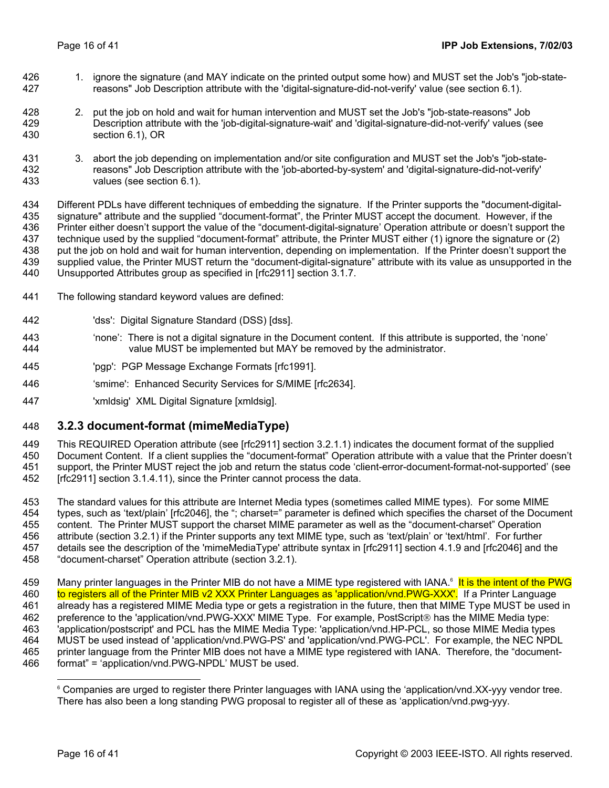- <span id="page-15-0"></span>426 427 1. ignore the signature (and MAY indicate on the printed output some how) and MUST set the Job's "job-statereasons" Job Description attribute with the 'digital-signature-did-not-verify' value (see section [6.1\)](#page-27-1).
- 428 429 430 2. put the job on hold and wait for human intervention and MUST set the Job's "job-state-reasons" Job Description attribute with the 'job-digital-signature-wait' and 'digital-signature-did-not-verify' values (see section [6.1\)](#page-27-1), OR
- 431 432 433 3. abort the job depending on implementation and/or site configuration and MUST set the Job's "job-statereasons" Job Description attribute with the 'job-aborted-by-system' and 'digital-signature-did-not-verify' values (see section [6.1\)](#page-27-1).

434 435 436 437 438 439 440 Different PDLs have different techniques of embedding the signature. If the Printer supports the "document-digitalsignature" attribute and the supplied "document-format", the Printer MUST accept the document. However, if the Printer either doesn't support the value of the "document-digital-signature' Operation attribute or doesn't support the technique used by the supplied "document-format" attribute, the Printer MUST either (1) ignore the signature or (2) put the job on hold and wait for human intervention, depending on implementation. If the Printer doesn't support the supplied value, the Printer MUST return the "document-digital-signature" attribute with its value as unsupported in the Unsupported Attributes group as specified in [rfc2911] section 3.1.7.

- 441 The following standard keyword values are defined:
- 442 'dss': Digital Signature Standard (DSS) [dss].
- 443 444 'none': There is not a digital signature in the Document content. If this attribute is supported, the 'none' value MUST be implemented but MAY be removed by the administrator.
- 445 'pgp': PGP Message Exchange Formats [rfc1991].
- 446 'smime': Enhanced Security Services for S/MIME [rfc2634].
- 447 'xmldsig' XML Digital Signature [xmldsig].

#### <span id="page-15-1"></span>448 **3.2.3 document-format (mimeMediaType)**

449 This REQUIRED Operation attribute (see [rfc2911] section 3.2.1.1) indicates the document format of the supplied

450 451 Document Content. If a client supplies the "document-format" Operation attribute with a value that the Printer doesn't support, the Printer MUST reject the job and return the status code 'client-error-document-format-not-supported' (see

452 [rfc2911] section 3.1.4.11), since the Printer cannot process the data.

453 454 455 456 457 458 The standard values for this attribute are Internet Media types (sometimes called MIME types). For some MIME types, such as 'text/plain' [rfc2046], the "; charset=" parameter is defined which specifies the charset of the Document content. The Printer MUST support the charset MIME parameter as well as the "document-charset" Operation attribute (section [3.2.1\)](#page-13-1) if the Printer supports any text MIME type, such as 'text/plain' or 'text/html'. For further details see the description of the 'mimeMediaType' attribute syntax in [rfc2911] section 4.1.9 and [rfc2046] and the "document-charset" Operation attribute (section [3.2.1\)](#page-13-1).

459 Many printer languages in the Printer MIB do not have a MIME type registered with IANA.<sup>6</sup> It is the intent of the PWG to registers all of the Printer MIB v2 XXX Printer Languages as 'application/vnd.PWG-XXX'. If a Printer Language already has a registered MIME Media type or gets a registration in the future, then that MIME Type MUST be used in preference to the 'application/vnd.PWG-XXX' MIME Type. For example, PostScript<sup>®</sup> has the MIME Media type: 'application/postscript' and PCL has the MIME Media Type: 'application/vnd.HP-PCL, so those MIME Media types MUST be used instead of 'application/vnd.PWG-PS' and 'application/vnd.PWG-PCL'. For example, the NEC NPDL printer language from the Printer MIB does not have a MIME type registered with IANA. Therefore, the "documentformat" = 'application/vnd.PWG-NPDL' MUST be used. 460 461 462 463 464 465 466

<span id="page-15-2"></span> <sup>6</sup> Companies are urged to register there Printer languages with IANA using the 'application/vnd.XX-yyy vendor tree. There has also been a long standing PWG proposal to register all of these as 'application/vnd.pwg-yyy.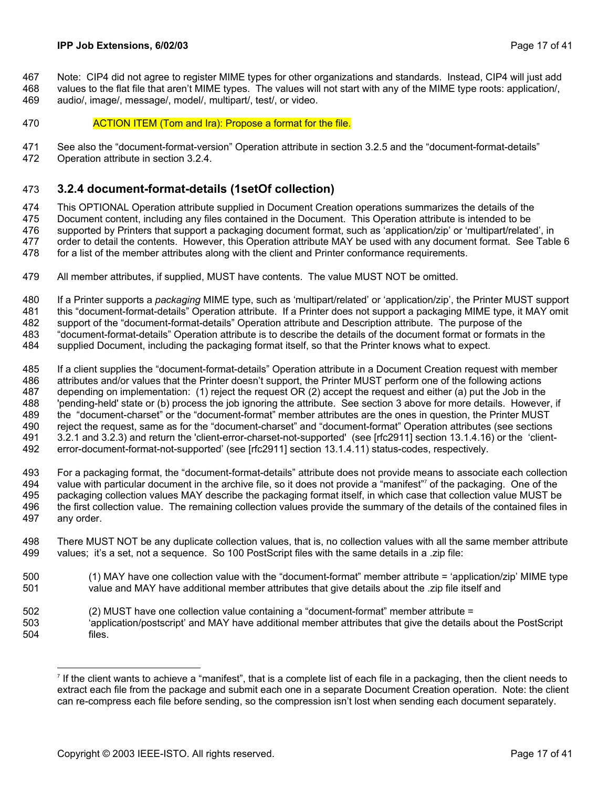<span id="page-16-0"></span>Note: CIP4 did not agree to register MIME types for other organizations and standards. Instead, CIP4 will just add values to the flat file that aren't MIME types. The values will not start with any of the MIME type roots: application/, 467 468

audio/, image/, message/, model/, multipart/, test/, or video. 469

470 **ACTION ITEM (Tom and Ira): Propose a format for the file.** 

471 See also the "document-format-version" Operation attribute in section [3.2.5](#page-19-2) and the "document-format-details"

472 Operation attribute in section [3.2.4.](#page-16-1)

#### <span id="page-16-1"></span>473 **3.2.4 document-format-details (1setOf collection)**

474 475 476 477 478 This OPTIONAL Operation attribute supplied in Document Creation operations summarizes the details of the Document content, including any files contained in the Document. This Operation attribute is intended to be supported by Printers that support a packaging document format, such as 'application/zip' or 'multipart/related', in order to detail the contents. However, this Operation attribute MAY be used with any document format. See [Table 6](#page-17-3)  for a list of the member attributes along with the client and Printer conformance requirements.

479 All member attributes, if supplied, MUST have contents. The value MUST NOT be omitted.

480 481 482 483 If a Printer supports a *packaging* MIME type, such as 'multipart/related' or 'application/zip', the Printer MUST support this "document-format-details" Operation attribute. If a Printer does not support a packaging MIME type, it MAY omit support of the "document-format-details" Operation attribute and Description attribute. The purpose of the "document-format-details" Operation attribute is to describe the details of the document format or formats in the

484 supplied Document, including the packaging format itself, so that the Printer knows what to expect.

485 486 487 488 489 490 491 492 If a client supplies the "document-format-details" Operation attribute in a Document Creation request with member attributes and/or values that the Printer doesn't support, the Printer MUST perform one of the following actions depending on implementation: (1) reject the request OR (2) accept the request and either (a) put the Job in the 'pending-held' state or (b) process the job ignoring the attribute. See section [3](#page-9-2) [above](#page-13-3) for more details. However, if the "document-charset" or the "document-format" member attributes are the ones in question, the Printer MUST reject the request, same as for the "document-charset" and "document-format" Operation attributes (see sections [3.2.1](#page-13-1) and [3.2.3\)](#page-15-1) and return the 'client-error-charset-not-supported' (see [rfc2911] section 13.1.4.16) or the 'clienterror-document-format-not-supported' (see [rfc2911] section 13.1.4.11) status-codes, respectively.

493 494 495 496 497 For a packaging format, the "document-format-details" attribute does not provide means to associate each collection valuewith particular document in the archive file, so it does not provide a "manifest"<sup>7</sup> of the packaging. One of the packaging collection values MAY describe the packaging format itself, in which case that collection value MUST be the first collection value. The remaining collection values provide the summary of the details of the contained files in any order.

- 498 499 There MUST NOT be any duplicate collection values, that is, no collection values with all the same member attribute values; it's a set, not a sequence. So 100 PostScript files with the same details in a .zip file:
- 500 501 (1) MAY have one collection value with the "document-format" member attribute = 'application/zip' MIME type value and MAY have additional member attributes that give details about the .zip file itself and
- 502 (2) MUST have one collection value containing a "document-format" member attribute =
- 503 504 'application/postscript' and MAY have additional member attributes that give the details about the PostScript files.

<span id="page-16-2"></span>l 7 If the client wants to achieve a "manifest", that is a complete list of each file in a packaging, then the client needs to extract each file from the package and submit each one in a separate Document Creation operation. Note: the client can re-compress each file before sending, so the compression isn't lost when sending each document separately.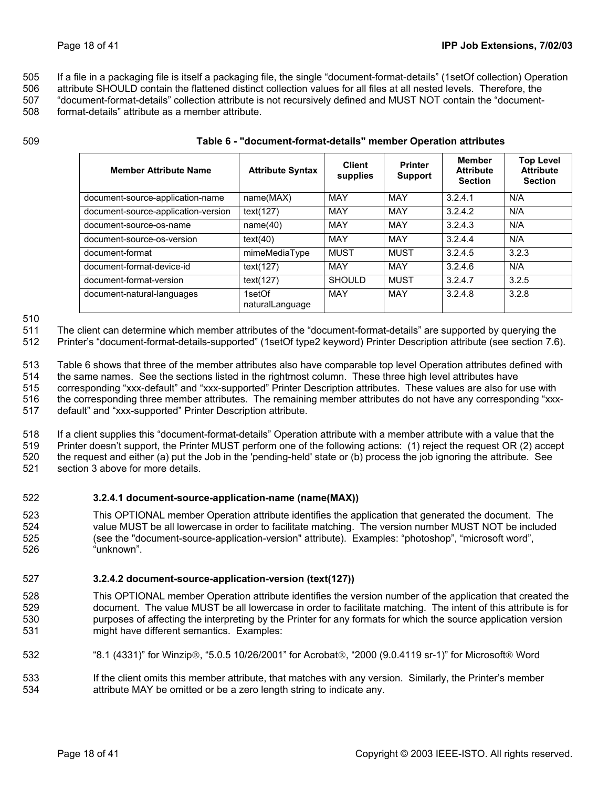<span id="page-17-0"></span>505 If a file in a packaging file is itself a packaging file, the single "document-format-details" (1setOf collection) Operation

506 507 508 attribute SHOULD contain the flattened distinct collection values for all files at all nested levels. Therefore, the "document-format-details" collection attribute is not recursively defined and MUST NOT contain the "documentformat-details" attribute as a member attribute.

509

| <b>Member Attribute Name</b>        | <b>Attribute Syntax</b>   | <b>Client</b><br>supplies | <b>Printer</b><br><b>Support</b> | Member<br><b>Attribute</b><br><b>Section</b> | <b>Top Level</b><br><b>Attribute</b><br><b>Section</b> |
|-------------------------------------|---------------------------|---------------------------|----------------------------------|----------------------------------------------|--------------------------------------------------------|
| document-source-application-name    | name(MAX)                 | MAY                       | <b>MAY</b>                       | 3.2.4.1                                      | N/A                                                    |
| document-source-application-version | text(127)                 | MAY                       | <b>MAY</b>                       | 3.2.4.2                                      | N/A                                                    |
| document-source-os-name             | name(40)                  | <b>MAY</b>                | <b>MAY</b>                       | 3.2.4.3                                      | N/A                                                    |
| document-source-os-version          | text(40)                  | <b>MAY</b>                | <b>MAY</b>                       | 3.2.4.4                                      | N/A                                                    |
| document-format                     | mimeMediaType             | MUST                      | <b>MUST</b>                      | 3.2.4.5                                      | 3.2.3                                                  |
| document-format-device-id           | text(127)                 | MAY                       | MAY                              | 3.2.4.6                                      | N/A                                                    |
| document-format-version             | text(127)                 | <b>SHOULD</b>             | MUST                             | 3.2.4.7                                      | 3.2.5                                                  |
| document-natural-languages          | 1setOf<br>naturalLanguage | <b>MAY</b>                | <b>MAY</b>                       | 3.2.4.8                                      | 3.2.8                                                  |

<span id="page-17-3"></span>**Table 6 - "document-format-details" member Operation attributes** 

### 510

511 512 The client can determine which member attributes of the "document-format-details" are supported by querying the Printer's "document-format-details-supported" (1setOf type2 keyword) Printer Description attribute (see section [7.6\)](#page-30-1).

513 [Table 6](#page-17-3) shows that three of the member attributes also have comparable top level Operation attributes defined with

514 the same names. See the sections listed in the rightmost column. These three high level attributes have

515 516 corresponding "xxx-default" and "xxx-supported" Printer Description attributes. These values are also for use with the corresponding three member attributes. The remaining member attributes do not have any corresponding "xxx-

517 default" and "xxx-supported" Printer Description attribute.

518 519 520 521 If a client supplies this "document-format-details" Operation attribute with a member attribute with a value that the Printer doesn't support, the Printer MUST perform one of the following actions: (1) reject the request OR (2) accept the request and either (a) put the Job in the 'pending-held' state or (b) process the job ignoring the attribute. See section [3](#page-9-2) [above](#page-13-3) for more details.

#### <span id="page-17-1"></span>522 **3.2.4.1 document-source-application-name (name(MAX))**

523 524 525 526 This OPTIONAL member Operation attribute identifies the application that generated the document. The value MUST be all lowercase in order to facilitate matching. The version number MUST NOT be included (see the "document-source-application-version" attribute). Examples: "photoshop", "microsoft word", "unknown".

#### <span id="page-17-2"></span>527 **3.2.4.2 document-source-application-version (text(127))**

528 529 530 531 This OPTIONAL member Operation attribute identifies the version number of the application that created the document. The value MUST be all lowercase in order to facilitate matching. The intent of this attribute is for purposes of affecting the interpreting by the Printer for any formats for which the source application version might have different semantics. Examples:

- 532 "8.1 (4331)" for Winzip®, "5.0.5 10/26/2001" for Acrobat®, "2000 (9.0.4119 sr-1)" for Microsoft® Word
- 533 534 If the client omits this member attribute, that matches with any version. Similarly, the Printer's member attribute MAY be omitted or be a zero length string to indicate any.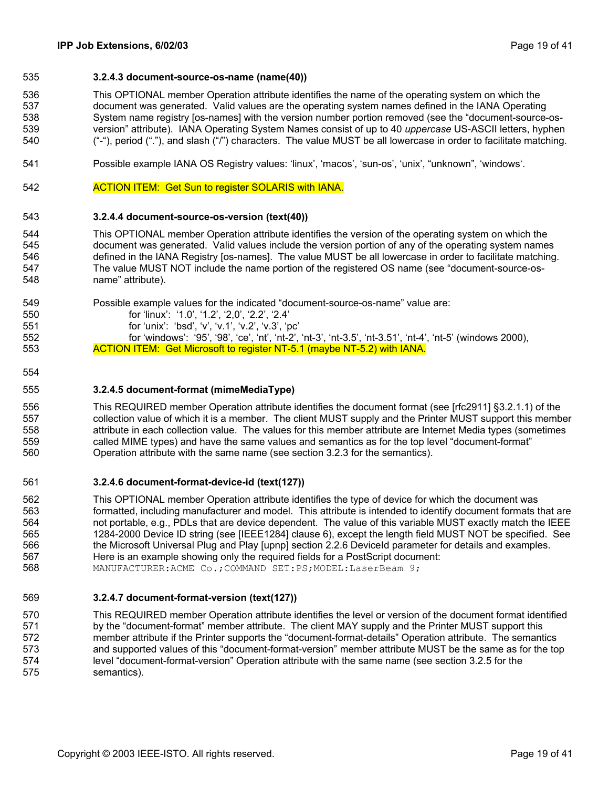### <span id="page-18-1"></span><span id="page-18-0"></span>535 **3.2.4.3 document-source-os-name (name(40))**

536 537 538 539 540 This OPTIONAL member Operation attribute identifies the name of the operating system on which the document was generated. Valid values are the operating system names defined in the IANA Operating System name registry [os-names] with the version number portion removed (see the "document-source-osversion" attribute). IANA Operating System Names consist of up to 40 *uppercase* US-ASCII letters, hyphen ("-"), period ("."), and slash ("/") characters. The value MUST be all lowercase in order to facilitate matching.

- 541 Possible example IANA OS Registry values: 'linux', 'macos', 'sun-os', 'unix', "unknown", 'windows'.
- 542 ACTION ITEM: Get Sun to register SOLARIS with IANA.

#### 543 **3.2.4.4 document-source-os-version (text(40))**

544 545 546 547 548 This OPTIONAL member Operation attribute identifies the version of the operating system on which the document was generated. Valid values include the version portion of any of the operating system names defined in the IANA Registry [os-names]. The value MUST be all lowercase in order to facilitate matching. The value MUST NOT include the name portion of the registered OS name (see "document-source-osname" attribute).

- 549 Possible example values for the indicated "document-source-os-name" value are:
	-
- <span id="page-18-2"></span>for 'linux': '1.0', '1.2', '2,0', '2.2', '2.4' for 'unix': 'bsd', 'v', 'v.1', 'v.2', 'v.3', 'pc'

<span id="page-18-3"></span>for 'windows': '95', '98', 'ce', 'nt', 'nt-2', 'nt-3', 'nt-3.5', 'nt-3.51', 'nt-4', 'nt-5' (windows 2000), ACTION ITEM: Get Microsoft to register NT-5.1 (maybe NT-5.2) with IANA.

554

550 551 552

553

#### 555 **3.2.4.5 document-format (mimeMediaType)**

556 557 558 559 560 This REQUIRED member Operation attribute identifies the document format (see [rfc2911] §3.2.1.1) of the collection value of which it is a member. The client MUST supply and the Printer MUST support this member attribute in each collection value. The values for this member attribute are Internet Media types (sometimes called MIME types) and have the same values and semantics as for the top level "document-format" Operation attribute with the same name (see section [3.2.3](#page-15-1) for the semantics).

#### <span id="page-18-4"></span>561 **3.2.4.6 document-format-device-id (text(127))**

562 563 564 565 566 567 568 This OPTIONAL member Operation attribute identifies the type of device for which the document was formatted, including manufacturer and model. This attribute is intended to identify document formats that are not portable, e.g., PDLs that are device dependent. The value of this variable MUST exactly match the IEEE 1284-2000 Device ID string (see [IEEE1284] clause 6), except the length field MUST NOT be specified. See the Microsoft Universal Plug and Play [upnp] section 2.2.6 DeviceId parameter for details and examples. Here is an example showing only the required fields for a PostScript document: MANUFACTURER:ACME Co.;COMMAND SET:PS;MODEL:LaserBeam 9;

#### <span id="page-18-5"></span>569 **3.2.4.7 document-format-version (text(127))**

570 571 572 573 574 575 This REQUIRED member Operation attribute identifies the level or version of the document format identified by the "document-format" member attribute. The client MAY supply and the Printer MUST support this member attribute if the Printer supports the "document-format-details" Operation attribute. The semantics and supported values of this "document-format-version" member attribute MUST be the same as for the top level "document-format-version" Operation attribute with the same name (see section [3.2.5](#page-19-2) for the semantics).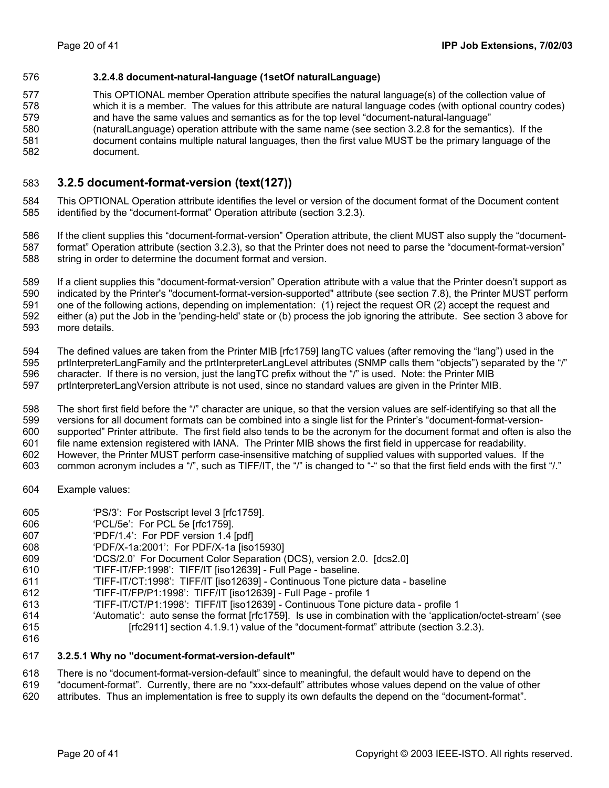### <span id="page-19-1"></span><span id="page-19-0"></span>576 **3.2.4.8 document-natural-language (1setOf naturalLanguage)**

577 578 579 580 581 582 This OPTIONAL member Operation attribute specifies the natural language(s) of the collection value of which it is a member. The values for this attribute are natural language codes (with optional country codes) and have the same values and semantics as for the top level "document-natural-language" (naturalLanguage) operation attribute with the same name (see section [3.2.8](#page-20-3) for the semantics). If the document contains multiple natural languages, then the first value MUST be the primary language of the document.

#### <span id="page-19-2"></span>583 **3.2.5 document-format-version (text(127))**

584 585 This OPTIONAL Operation attribute identifies the level or version of the document format of the Document content identified by the "document-format" Operation attribute (section [3.2.3\)](#page-15-1).

586 587 588 If the client supplies this "document-format-version" Operation attribute, the client MUST also supply the "documentformat" Operation attribute (section [3.2.3\)](#page-15-1), so that the Printer does not need to parse the "document-format-version" string in order to determine the document format and version.

589 590 591 592 593 If a client supplies this "document-format-version" Operation attribute with a value that the Printer doesn't support as indicated by the Printer's "document-format-version-supported" attribute (see section [7.8\)](#page-31-1), the Printer MUST perform one of the following actions, depending on implementation: (1) reject the request OR (2) accept the request and either (a) put the Job in the 'pending-held' state or (b) process the job ignoring the attribute. See section [3](#page-9-2) [above](#page-13-3) for more details.

594 595 596 597 The defined values are taken from the Printer MIB [rfc1759] langTC values (after removing the "lang") used in the prtInterpreterLangFamily and the prtInterpreterLangLevel attributes (SNMP calls them "objects") separated by the "/" character. If there is no version, just the langTC prefix without the "/" is used. Note: the Printer MIB prtInterpreterLangVersion attribute is not used, since no standard values are given in the Printer MIB.

598 599 600 601 602 The short first field before the "/" character are unique, so that the version values are self-identifying so that all the versions for all document formats can be combined into a single list for the Printer's "document-format-versionsupported" Printer attribute. The first field also tends to be the acronym for the document format and often is also the file name extension registered with IANA. The Printer MIB shows the first field in uppercase for readability. However, the Printer MUST perform case-insensitive matching of supplied values with supported values. If the

- 603 common acronym includes a "/", such as TIFF/IT, the "/" is changed to "-" so that the first field ends with the first "/."
- 604 Example values:
- 605 'PS/3': For Postscript level 3 [rfc1759].
- 606 'PCL/5e': For PCL 5e [rfc1759].
- 607 'PDF/1.4': For PDF version 1.4 [pdf]
- 608 'PDF/X-1a:2001': For PDF/X-1a [iso15930]
- 609 'DCS/2.0' For Document Color Separation (DCS), version 2.0. [dcs2.0]
- 610 'TIFF-IT/FP:1998': TIFF/IT [iso12639] - Full Page - baseline.
- 611 'TIFF-IT/CT:1998': TIFF/IT [iso12639] - Continuous Tone picture data - baseline
- 612 'TIFF-IT/FP/P1:1998': TIFF/IT [iso12639] - Full Page - profile 1
- 613 'TIFF-IT/CT/P1:1998': TIFF/IT [iso12639] - Continuous Tone picture data - profile 1
- 614 615 'Automatic': auto sense the format [rfc1759]. Is use in combination with the 'application/octet-stream' (see [rfc2911] section 4.1.9.1) value of the "document-format" attribute (section [3.2.3\)](#page-15-1).
- 616

#### 617 **3.2.5.1 Why no "document-format-version-default"**

618 There is no "document-format-version-default" since to meaningful, the default would have to depend on the

- 619 "document-format". Currently, there are no "xxx-default" attributes whose values depend on the value of other
- 620 attributes. Thus an implementation is free to supply its own defaults the depend on the "document-format".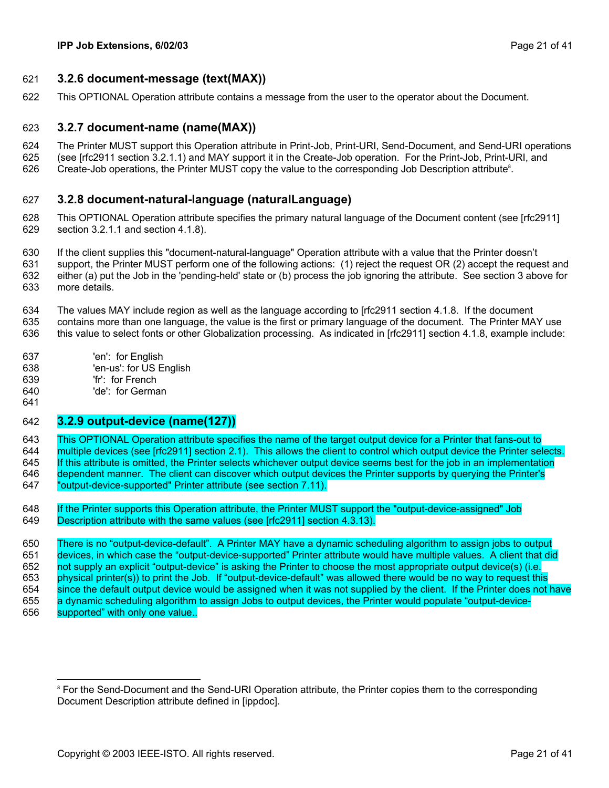### <span id="page-20-1"></span><span id="page-20-0"></span>621 **3.2.6 document-message (text(MAX))**

622 This OPTIONAL Operation attribute contains a message from the user to the operator about the Document.

#### <span id="page-20-2"></span>623 **3.2.7 document-name (name(MAX))**

- 624 The Printer MUST support this Operation attribute in Print-Job, Print-URI, Send-Document, and Send-URI operations
- 625 (see [rfc2911 section 3.2.1.1) and MAY support it in the Create-Job operation. For the Print-Job, Print-URI, and
- 626 Create-Job operations, the Printer MUST copy the value to the corresponding Job Description attribute<sup>8</sup>[.](#page-20-4)

#### <span id="page-20-3"></span>627 **3.2.8 document-natural-language (naturalLanguage)**

- 628 629 This OPTIONAL Operation attribute specifies the primary natural language of the Document content (see [rfc2911] section 3.2.1.1 and section 4.1.8).
- 630 631 632 633 If the client supplies this "document-natural-language" Operation attribute with a value that the Printer doesn't support, the Printer MUST perform one of the following actions: (1) reject the request OR (2) accept the request and either (a) put the Job in the 'pending-held' state or (b) process the job ignoring the attribute. See section [3](#page-9-2) [above](#page-13-3) for more details.
- 634 635 The values MAY include region as well as the language according to [rfc2911 section 4.1.8. If the document contains more than one language, the value is the first or primary language of the document. The Printer MAY use
- 636 this value to select fonts or other Globalization processing. As indicated in [rfc2911] section 4.1.8, example include:
- 637 'en': for English
- 638 'en-us': for US English
- 639 'fr': for French
- 640 641 'de': for German

### 642 **3.2.9 output-device (name(127))**

643 This OPTIONAL Operation attribute specifies the name of the target output device for a Printer that fans-out to 644 multiple devices (see [rfc2911] section 2.1). This allows the client to control which output device the Printer selects. 645 If this attribute is omitted, the Printer selects whichever output device seems best for the job in an implementation 646 dependent manner. The client can discover which output devices the Printer supports by querying the Printer's 647 "output-device-supported" Printer attribute (see section [7.11\)](#page-31-2).

648 If the Printer supports this Operation attribute, the Printer MUST support the "output-device-assigned" Job 649 Description attribute with the same values (see [rfc2911] section 4.3.13).

650 There is no "output-device-default". A Printer MAY have a dynamic scheduling algorithm to assign jobs to output 651 devices, in which case the "output-device-supported" Printer attribute would have multiple values. A client that did 652 not supply an explicit "output-device" is asking the Printer to choose the most appropriate output device(s) (i.e. 653 physical printer(s)) to print the Job. If "output-device-default" was allowed there would be no way to request this 654 since the default output device would be assigned when it was not supplied by the client. If the Printer does not have 655 a dynamic scheduling algorithm to assign Jobs to output devices, the Printer would populate "output-device-656 supported" with only one value.

<span id="page-20-4"></span><sup>-&</sup>lt;br>8 <sup>8</sup> For the Send-Document and the Send-URI Operation attribute, the Printer copies them to the corresponding Document Description attribute defined in [ippdoc].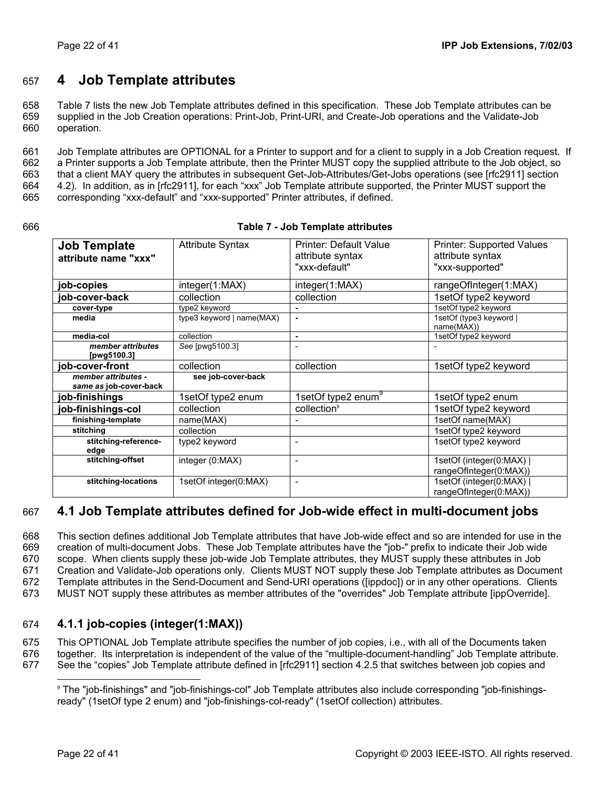# <span id="page-21-0"></span>657 **4 Job Template attributes**

658 659 660 [Table 7](#page-21-1) lists the new Job Template attributes defined in this specification. These Job Template attributes can be supplied in the Job Creation operations: Print-Job, Print-URI, and Create-Job operations and the Validate-Job operation.

661 662 663 664 665 Job Template attributes are OPTIONAL for a Printer to support and for a client to supply in a Job Creation request. If a Printer supports a Job Template attribute, then the Printer MUST copy the supplied attribute to the Job object, so that a client MAY query the attributes in subsequent Get-Job-Attributes/Get-Jobs operations (see [rfc2911] section 4.2). In addition, as in [rfc2911], for each "xxx" Job Template attribute supported, the Printer MUST support the corresponding "xxx-default" and "xxx-supported" Printer attributes, if defined.

| I<br>I<br>۰.<br>۰.<br>۰. |
|--------------------------|
|--------------------------|

### <span id="page-21-2"></span><span id="page-21-1"></span>**Table 7 - Job Template attributes**

| <b>Job Template</b><br>attribute name "xxx"   | <b>Attribute Syntax</b>   | Printer: Default Value<br>attribute syntax<br>"xxx-default" | <b>Printer: Supported Values</b><br>attribute syntax<br>"xxx-supported" |
|-----------------------------------------------|---------------------------|-------------------------------------------------------------|-------------------------------------------------------------------------|
| job-copies                                    | integer(1:MAX)            | integer(1:MAX)                                              | rangeOfInteger(1:MAX)                                                   |
| job-cover-back                                | collection                | collection                                                  | 1setOf type2 keyword                                                    |
| cover-type                                    | type2 keyword             |                                                             | 1setOf type2 keyword                                                    |
| media                                         | type3 keyword   name(MAX) | $\blacksquare$                                              | 1setOf (type3 keyword  <br>name(MAX))                                   |
| media-col                                     | collection                | ٠                                                           | 1setOf type2 keyword                                                    |
| member attributes<br>[pwg5100.3]              | See [pwg5100.3]           | $\blacksquare$                                              |                                                                         |
| job-cover-front                               | collection                | collection                                                  | 1setOf type2 keyword                                                    |
| member attributes -<br>same as job-cover-back | see job-cover-back        |                                                             |                                                                         |
| job-finishings                                | 1setOf type2 enum         | 1setOf type2 enum <sup>9</sup>                              | 1setOf type2 enum                                                       |
| job-finishings-col                            | collection                | collection <sup>9</sup>                                     | 1setOf type2 keyword                                                    |
| finishing-template                            | name(MAX)                 |                                                             | 1setOf name(MAX)                                                        |
| stitching                                     | collection                |                                                             | 1setOf type2 keyword                                                    |
| stitching-reference-<br>edge                  | type2 keyword             | ۰                                                           | 1setOf type2 keyword                                                    |
| stitching-offset                              | integer (0:MAX)           | $\overline{\phantom{a}}$                                    | 1setOf (integer(0:MAX)  <br>rangeOfInteger(0:MAX))                      |
| stitching-locations                           | 1setOf integer(0:MAX)     | $\overline{\phantom{a}}$                                    | 1setOf (integer(0:MAX)  <br>rangeOfInteger(0:MAX))                      |

### <span id="page-21-4"></span>667 **4.1 Job Template attributes defined for Job-wide effect in multi-document jobs**

668 669 670 671 672 673 This section defines additional Job Template attributes that have Job-wide effect and so are intended for use in the creation of multi-document Jobs. These Job Template attributes have the "job-" prefix to indicate their Job wide scope. When clients supply these job-wide Job Template attributes, they MUST supply these attributes in Job Creation and Validate-Job operations only. Clients MUST NOT supply these Job Template attributes as Document Template attributes in the Send-Document and Send-URI operations ([ippdoc]) or in any other operations. Clients MUST NOT supply these attributes as member attributes of the "overrides" Job Template attribute [ippOverride].

#### <span id="page-21-5"></span>674 **4.1.1 job-copies (integer(1:MAX))**

675 This OPTIONAL Job Template attribute specifies the number of job copies, i.e., with all of the Documents taken

676 together. Its interpretation is independent of the value of the "multiple-document-handling" Job Template attribute.

677  $\overline{a}$ See the "copies" Job Template attribute defined in [rfc2911] section 4.2.5 that switches between job copies and

<span id="page-21-3"></span><sup>9</sup> The "job-finishings" and "job-finishings-col" Job Template attributes also include corresponding "job-finishingsready" (1setOf type 2 enum) and "job-finishings-col-ready" (1setOf collection) attributes.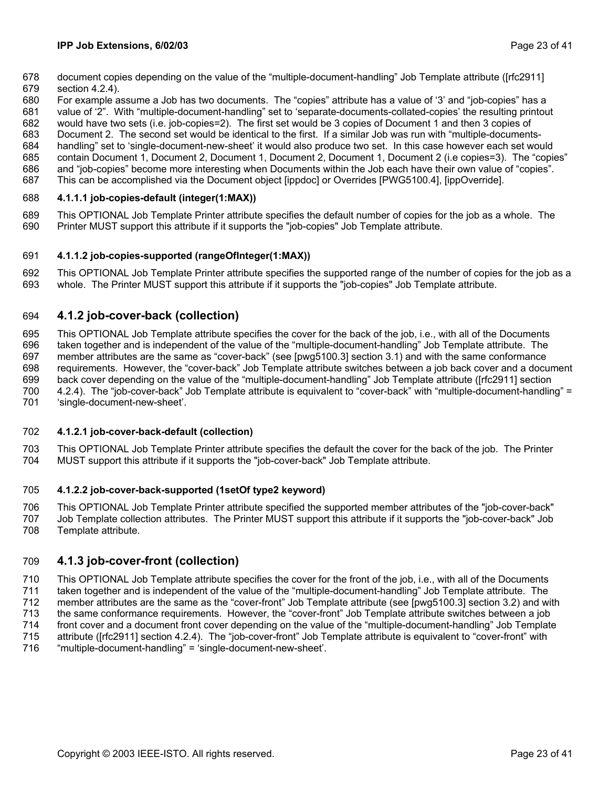- <span id="page-22-0"></span>678 document copies depending on the value of the "multiple-document-handling" Job Template attribute ([rfc2911]
- 679 section 4.2.4).
- 680 For example assume a Job has two documents. The "copies" attribute has a value of '3' and "job-copies" has a
- 681 value of '2". With "multiple-document-handling" set to 'separate-documents-collated-copies' the resulting printout
- 682 683 would have two sets (i.e. job-copies=2). The first set would be 3 copies of Document 1 and then 3 copies of
- 684 Document 2. The second set would be identical to the first. If a similar Job was run with "multiple-documentshandling" set to 'single-document-new-sheet' it would also produce two set. In this case however each set would
- 685 contain Document 1, Document 2, Document 1, Document 2, Document 1, Document 2 (i.e copies=3). The "copies"
- 686 and "job-copies" become more interesting when Documents within the Job each have their own value of "copies".
- 687 This can be accomplished via the Document object [ippdoc] or Overrides [PWG5100.4], [ippOverride].

#### <span id="page-22-1"></span>688 **4.1.1.1 job-copies-default (integer(1:MAX))**

689 690 This OPTIONAL Job Template Printer attribute specifies the default number of copies for the job as a whole. The Printer MUST support this attribute if it supports the "job-copies" Job Template attribute.

#### <span id="page-22-2"></span>691 **4.1.1.2 job-copies-supported (rangeOfInteger(1:MAX))**

692 693 This OPTIONAL Job Template Printer attribute specifies the supported range of the number of copies for the job as a whole. The Printer MUST support this attribute if it supports the "job-copies" Job Template attribute.

#### <span id="page-22-3"></span>694 **4.1.2 job-cover-back (collection)**

695 696 697 698 699 700 701 This OPTIONAL Job Template attribute specifies the cover for the back of the job, i.e., with all of the Documents taken together and is independent of the value of the "multiple-document-handling" Job Template attribute. The member attributes are the same as "cover-back" (see [pwg5100.3] section 3.1) and with the same conformance requirements. However, the "cover-back" Job Template attribute switches between a job back cover and a document back cover depending on the value of the "multiple-document-handling" Job Template attribute ([rfc2911] section 4.2.4). The "job-cover-back" Job Template attribute is equivalent to "cover-back" with "multiple-document-handling" = 'single-document-new-sheet'.

#### <span id="page-22-4"></span>702 **4.1.2.1 job-cover-back-default (collection)**

703 704 This OPTIONAL Job Template Printer attribute specifies the default the cover for the back of the job. The Printer MUST support this attribute if it supports the "job-cover-back" Job Template attribute.

#### <span id="page-22-5"></span>705 **4.1.2.2 job-cover-back-supported (1setOf type2 keyword)**

706 707 708 This OPTIONAL Job Template Printer attribute specified the supported member attributes of the "job-cover-back" Job Template collection attributes. The Printer MUST support this attribute if it supports the "job-cover-back" Job Template attribute.

#### <span id="page-22-6"></span>709 **4.1.3 job-cover-front (collection)**

710 711 712 713 714 715 716 This OPTIONAL Job Template attribute specifies the cover for the front of the job, i.e., with all of the Documents taken together and is independent of the value of the "multiple-document-handling" Job Template attribute. The member attributes are the same as the "cover-front" Job Template attribute (see [pwg5100.3] section 3.2) and with the same conformance requirements. However, the "cover-front" Job Template attribute switches between a job front cover and a document front cover depending on the value of the "multiple-document-handling" Job Template attribute ([rfc2911] section 4.2.4). The "job-cover-front" Job Template attribute is equivalent to "cover-front" with "multiple-document-handling" = 'single-document-new-sheet'.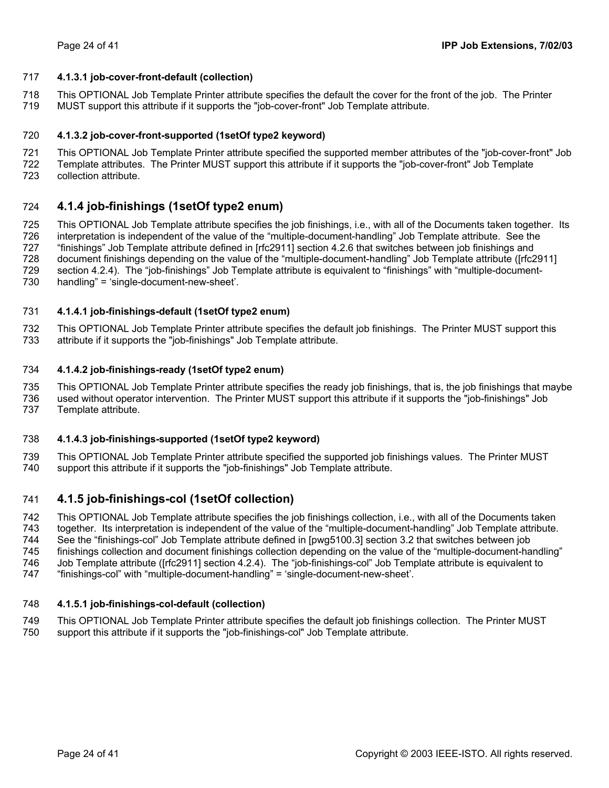### <span id="page-23-2"></span><span id="page-23-0"></span>717 **4.1.3.1 job-cover-front-default (collection)**

- 718 This OPTIONAL Job Template Printer attribute specifies the default the cover for the front of the job. The Printer
- 719 MUST support this attribute if it supports the "job-cover-front" Job Template attribute.

#### <span id="page-23-3"></span>720 **4.1.3.2 job-cover-front-supported (1setOf type2 keyword)**

- 721 This OPTIONAL Job Template Printer attribute specified the supported member attributes of the "job-cover-front" Job
- 722 Template attributes. The Printer MUST support this attribute if it supports the "job-cover-front" Job Template
- 723 collection attribute.

#### <span id="page-23-1"></span>724 **4.1.4 job-finishings (1setOf type2 enum)**

725 726 727 728 729 730 This OPTIONAL Job Template attribute specifies the job finishings, i.e., with all of the Documents taken together. Its interpretation is independent of the value of the "multiple-document-handling" Job Template attribute. See the "finishings" Job Template attribute defined in [rfc2911] section 4.2.6 that switches between job finishings and document finishings depending on the value of the "multiple-document-handling" Job Template attribute ([rfc2911] section 4.2.4). The "job-finishings" Job Template attribute is equivalent to "finishings" with "multiple-documenthandling" = 'single-document-new-sheet'.

#### <span id="page-23-4"></span>731 **4.1.4.1 job-finishings-default (1setOf type2 enum)**

732 733 This OPTIONAL Job Template Printer attribute specifies the default job finishings. The Printer MUST support this attribute if it supports the "job-finishings" Job Template attribute.

#### <span id="page-23-5"></span>734 **4.1.4.2 job-finishings-ready (1setOf type2 enum)**

735 736 737 This OPTIONAL Job Template Printer attribute specifies the ready job finishings, that is, the job finishings that maybe used without operator intervention. The Printer MUST support this attribute if it supports the "job-finishings" Job Template attribute.

#### <span id="page-23-6"></span>738 **4.1.4.3 job-finishings-supported (1setOf type2 keyword)**

739 740 This OPTIONAL Job Template Printer attribute specified the supported job finishings values. The Printer MUST support this attribute if it supports the "job-finishings" Job Template attribute.

#### <span id="page-23-7"></span>741 **4.1.5 job-finishings-col (1setOf collection)**

742 743 744 745 This OPTIONAL Job Template attribute specifies the job finishings collection, i.e., with all of the Documents taken together. Its interpretation is independent of the value of the "multiple-document-handling" Job Template attribute. See the "finishings-col" Job Template attribute defined in [pwg5100.3] section 3.2 that switches between job

- 746 finishings collection and document finishings collection depending on the value of the "multiple-document-handling" Job Template attribute ([rfc2911] section 4.2.4). The "job-finishings-col" Job Template attribute is equivalent to
- 747 "finishings-col" with "multiple-document-handling" = 'single-document-new-sheet'.

#### <span id="page-23-8"></span>748 **4.1.5.1 job-finishings-col-default (collection)**

749 750 This OPTIONAL Job Template Printer attribute specifies the default job finishings collection. The Printer MUST support this attribute if it supports the "job-finishings-col" Job Template attribute.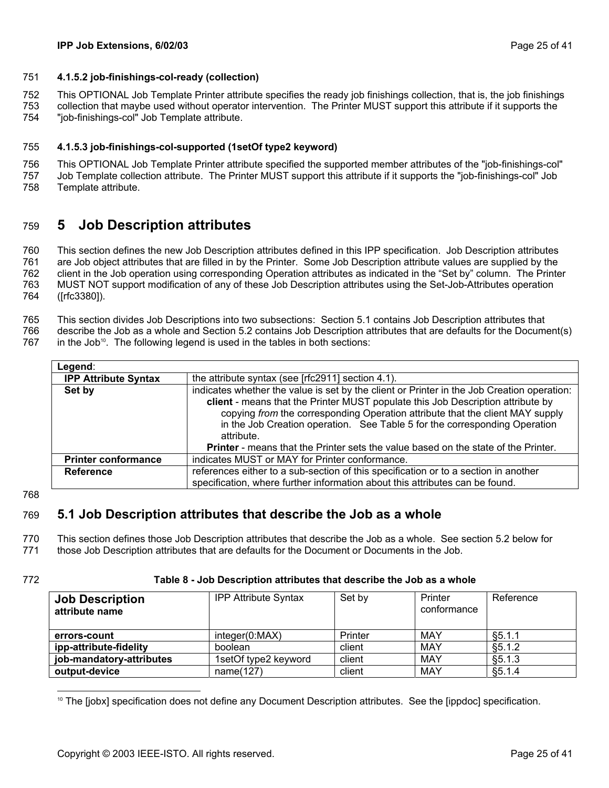### <span id="page-24-4"></span><span id="page-24-0"></span>751 **4.1.5.2 job-finishings-col-ready (collection)**

752 This OPTIONAL Job Template Printer attribute specifies the ready job finishings collection, that is, the job finishings

753 754 collection that maybe used without operator intervention. The Printer MUST support this attribute if it supports the "job-finishings-col" Job Template attribute.

#### <span id="page-24-5"></span>755 **4.1.5.3 job-finishings-col-supported (1setOf type2 keyword)**

756 757 This OPTIONAL Job Template Printer attribute specified the supported member attributes of the "job-finishings-col" Job Template collection attribute. The Printer MUST support this attribute if it supports the "job-finishings-col" Job

758 Template attribute.

#### <span id="page-24-1"></span>759 **5 Job Description attributes**

760 761 762 763 764 This section defines the new Job Description attributes defined in this IPP specification. Job Description attributes are Job object attributes that are filled in by the Printer. Some Job Description attribute values are supplied by the client in the Job operation using corresponding Operation attributes as indicated in the "Set by" column. The Printer MUST NOT support modification of any of these Job Description attributes using the Set-Job-Attributes operation ([rfc3380]).

- 765 This section divides Job Descriptions into two subsections: Section [5.1](#page-24-2) contains Job Description attributes that
- 766 describe the Job as a whole and Section [5.2](#page-26-1) contains Job Description attributes that are defaults for the Document(s)
- 767 in the Job<sup>10</sup>. The following legend is used in the tables in both sections:

| Legend:                     |                                                                                                                                                                                                                                                                                                                                                                                                                                                         |
|-----------------------------|---------------------------------------------------------------------------------------------------------------------------------------------------------------------------------------------------------------------------------------------------------------------------------------------------------------------------------------------------------------------------------------------------------------------------------------------------------|
| <b>IPP Attribute Syntax</b> | the attribute syntax (see [rfc2911] section 4.1).                                                                                                                                                                                                                                                                                                                                                                                                       |
| Set by                      | indicates whether the value is set by the client or Printer in the Job Creation operation:<br>client - means that the Printer MUST populate this Job Description attribute by<br>copying from the corresponding Operation attribute that the client MAY supply<br>in the Job Creation operation. See Table 5 for the corresponding Operation<br>attribute.<br><b>Printer</b> - means that the Printer sets the value based on the state of the Printer. |
| <b>Printer conformance</b>  | indicates MUST or MAY for Printer conformance.                                                                                                                                                                                                                                                                                                                                                                                                          |
| <b>Reference</b>            | references either to a sub-section of this specification or to a section in another<br>specification, where further information about this attributes can be found.                                                                                                                                                                                                                                                                                     |

768

#### <span id="page-24-2"></span>769 **5.1 Job Description attributes that describe the Job as a whole**

770 This section defines those Job Description attributes that describe the Job as a whole. See section [5.2](#page-26-1) below for

771 those Job Description attributes that are defaults for the Document or Documents in the Job.

772

### **Table 8 - Job Description attributes that describe the Job as a whole**

| <b>Job Description</b><br>attribute name | <b>IPP Attribute Syntax</b> | Set by  | Printer<br>conformance | Reference |
|------------------------------------------|-----------------------------|---------|------------------------|-----------|
| errors-count                             | integer(0:MAX)              | Printer | MAY                    | §5.1.1    |
| ipp-attribute-fidelity                   | boolean                     | client  | MAY                    | \$5.1.2   |
| job-mandatory-attributes                 | 1setOf type2 keyword        | client  | MAY                    | §5.1.3    |
| output-device                            | name(127)                   | client  | MAY                    | §5.1.4    |

<span id="page-24-3"></span><sup>&</sup>lt;sup>10</sup> The [jobx] specification does not define any Document Description attributes. See the [ippdoc] specification.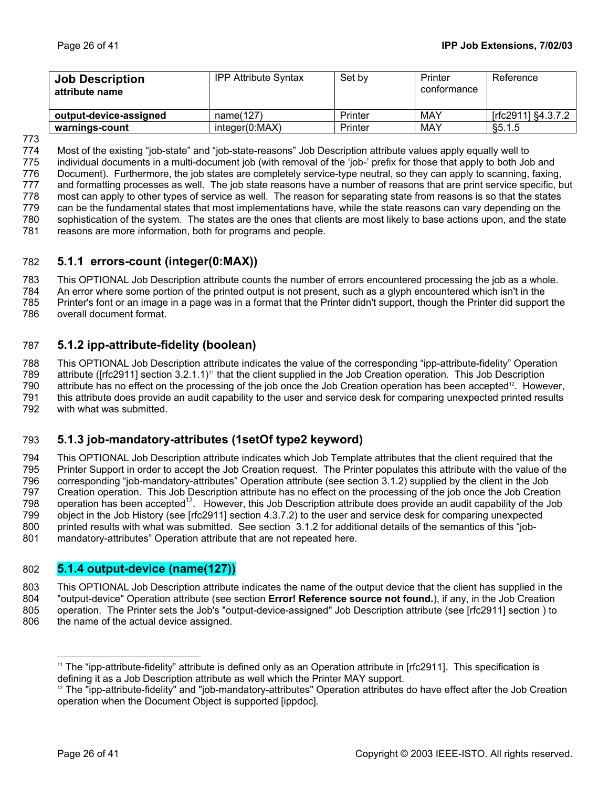<span id="page-25-0"></span>

| <b>Job Description</b><br>attribute name | <b>IPP Attribute Syntax</b> | Set by  | Printer<br>conformance | Reference          |
|------------------------------------------|-----------------------------|---------|------------------------|--------------------|
| output-device-assigned                   | name(127)                   | Printer | MAY                    | [rfc2911] §4.3.7.2 |
| warnings-count                           | integer(0:MAX)              | Printer | MAY                    | \$5.1.5            |

773

774 775 776 777 778 779 780 781 Most of the existing "job-state" and "job-state-reasons" Job Description attribute values apply equally well to individual documents in a multi-document job (with removal of the 'job-' prefix for those that apply to both Job and Document). Furthermore, the job states are completely service-type neutral, so they can apply to scanning, faxing, and formatting processes as well. The job state reasons have a number of reasons that are print service specific, but most can apply to other types of service as well. The reason for separating state from reasons is so that the states can be the fundamental states that most implementations have, while the state reasons can vary depending on the sophistication of the system. The states are the ones that clients are most likely to base actions upon, and the state reasons are more information, both for programs and people.

#### <span id="page-25-3"></span>782 **5.1.1 errors-count (integer(0:MAX))**

783 This OPTIONAL Job Description attribute counts the number of errors encountered processing the job as a whole.

784 785 An error where some portion of the printed output is not present, such as a glyph encountered which isn't in the Printer's font or an image in a page was in a format that the Printer didn't support, though the Printer did support the

786 overall document format.

#### <span id="page-25-1"></span>787 **5.1.2 ipp-attribute-fidelity (boolean)**

<span id="page-25-5"></span>788 789 790 791 792 This OPTIONAL Job Description attribute indicates the value of the corresponding "ipp-attribute-fidelity" Operation attribute ([rfc2911] section 3.2.1.1)<sup>11</sup> that the client supplied in the Job Creation operation. This Job Description attribute has no effect on the processing of the job once the Job Creation operation has been accepted<sup>12</sup>. However, this attribute does provide an audit capability to the user and service desk for comparing unexpected printed results with what was submitted.

#### <span id="page-25-2"></span>793 **5.1.3 job-mandatory-attributes (1setOf type2 keyword)**

794 795 796 797 798 799 800 801 This OPTIONAL Job Description attribute indicates which Job Template attributes that the client required that the Printer Support in order to accept the Job Creation request. The Printer populates this attribute with the value of the corresponding "job-mandatory-attributes" Operation attribute (see section [3.1.2\)](#page-12-2) supplied by the client in the Job Creation operation. This Job Description attribute has no effect on the processing of the job once the Job Creation operation has been accepted<sup>12</sup>. However, this Job Description attribute does provide an audit capability of the Job object in the Job History (see [rfc2911] section 4.3.7.2) to the user and service desk for comparing unexpected printed results with what was submitted. See section [3.1.2](#page-12-2) for additional details of the semantics of this "jobmandatory-attributes" Operation attribute that are not repeated here.

# <span id="page-25-4"></span>802 **5.1.4 output-device (name(127))**

803 804 805 806 This OPTIONAL Job Description attribute indicates the name of the output device that the client has supplied in the "output-device" Operation attribute (see section **[Error! Reference source not found.](#page-24-2)**), if any, in the Job Creation operation. The Printer sets the Job's "output-device-assigned" Job Description attribute (see [rfc2911] section ) to the name of the actual device assigned.

l

<span id="page-25-6"></span><sup>&</sup>lt;sup>11</sup> The "ipp-attribute-fidelity" attribute is defined only as an Operation attribute in [rfc2911]. This specification is defining it as a Job Description attribute as well which the Printer MAY support.<br><sup>12</sup> The "ipp-attribute-fidelity" and "job-mandatory-attributes" Operation attributes do have effect after the Job Creation

<span id="page-25-7"></span>operation when the Document Object is supported [ippdoc].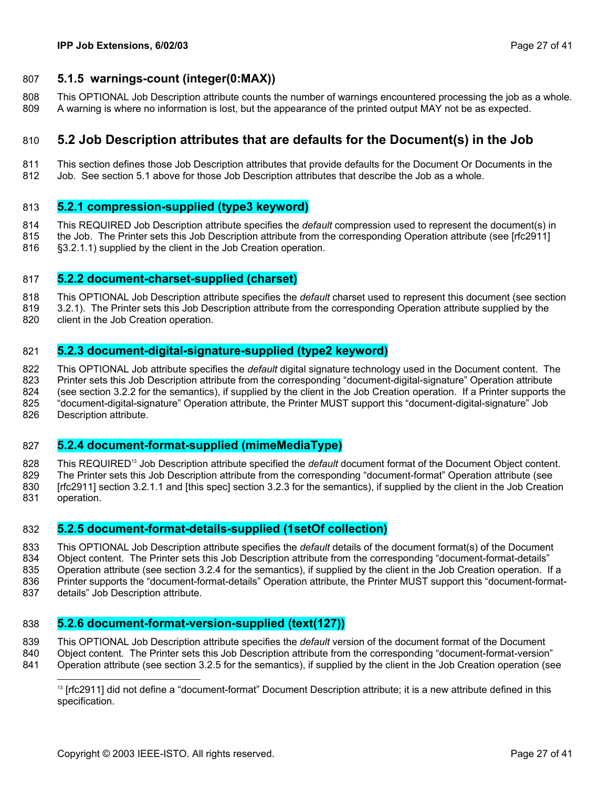### <span id="page-26-2"></span><span id="page-26-0"></span>807 **5.1.5 warnings-count (integer(0:MAX))**

808 809 This OPTIONAL Job Description attribute counts the number of warnings encountered processing the job as a whole. A warning is where no information is lost, but the appearance of the printed output MAY not be as expected.

#### <span id="page-26-1"></span>810 **5.2 Job Description attributes that are defaults for the Document(s) in the Job**

811 812 This section defines those Job Description attributes that provide defaults for the Document Or Documents in the Job. See section [5.1](#page-24-2) above for those Job Description attributes that describe the Job as a whole.

### <span id="page-26-4"></span>813 **5.2.1 compression-supplied (type3 keyword)**

814 815 This REQUIRED Job Description attribute specifies the *default* compression used to represent the document(s) in the Job. The Printer sets this Job Description attribute from the corresponding Operation attribute (see [rfc2911]

816 §3.2.1.1) supplied by the client in the Job Creation operation.

### <span id="page-26-5"></span>817 **5.2.2 document-charset-supplied (charset)**

818 This OPTIONAL Job Description attribute specifies the *default* charset used to represent this document (see section

- 819 [3.2.1\)](#page-13-1). The Printer sets this Job Description attribute from the corresponding Operation attribute supplied by the
- 820 client in the Job Creation operation.

### <span id="page-26-6"></span>821 **5.2.3 document-digital-signature-supplied (type2 keyword)**

822 823 824 825 826 This OPTIONAL Job attribute specifies the *default* digital signature technology used in the Document content. The Printer sets this Job Description attribute from the corresponding "document-digital-signature" Operation attribute (see section [3.2.2](#page-14-1) for the semantics), if supplied by the client in the Job Creation operation. If a Printer supports the "document-digital-signature" Operation attribute, the Printer MUST support this "document-digital-signature" Job Description attribute.

### <span id="page-26-7"></span>827 **5.2.4 document-format-supplied (mimeMediaType)**

828 829 830 831 This REQUIRE[D13](#page-26-3) Job Description attribute specified the *default* document format of the Document Object content. The Printer sets this Job Description attribute from the corresponding "document-format" Operation attribute (see [rfc2911] section 3.2.1.1 and [this spec] section [3.2.3](#page-15-1) for the semantics), if supplied by the client in the Job Creation operation.

### <span id="page-26-8"></span>832 **5.2.5 document-format-details-supplied (1setOf collection)**

833 834 835 836 This OPTIONAL Job Description attribute specifies the *default* details of the document format(s) of the Document Object content. The Printer sets this Job Description attribute from the corresponding "document-format-details" Operation attribute (see section [3.2.4](#page-16-1) for the semantics), if supplied by the client in the Job Creation operation. If a Printer supports the "document-format-details" Operation attribute, the Printer MUST support this "document-format-

837 details" Job Description attribute.

<span id="page-26-9"></span> $\overline{a}$ 

### 838 **5.2.6 document-format-version-supplied (text(127))**

839 This OPTIONAL Job Description attribute specifies the *default* version of the document format of the Document

- 840 Object content. The Printer sets this Job Description attribute from the corresponding "document-format-version"
- 841 Operation attribute (see section [3.2.5](#page-19-2) for the semantics), if supplied by the client in the Job Creation operation (see

<span id="page-26-3"></span><sup>&</sup>lt;sup>13</sup> [rfc2911] did not define a "document-format" Document Description attribute; it is a new attribute defined in this specification.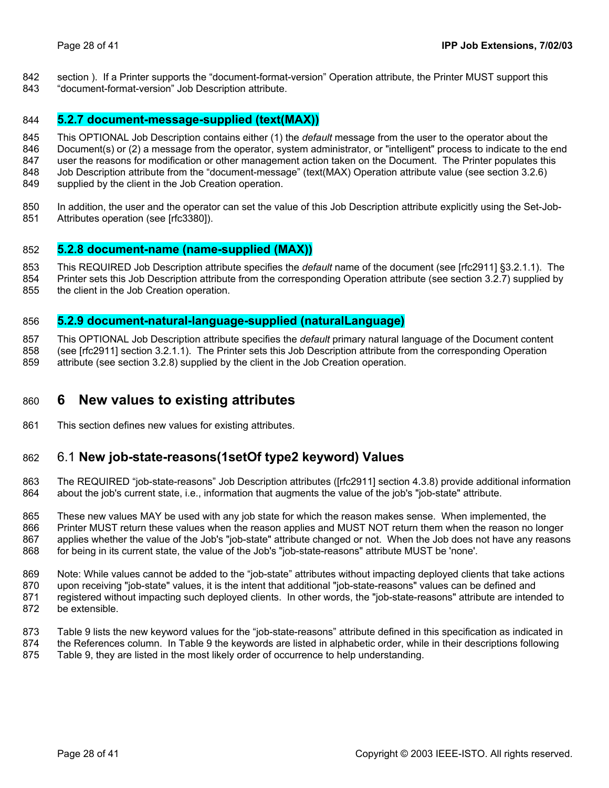- <span id="page-27-0"></span>section ). If a Printer supports the "document-format-version" Operation attribute, the Printer MUST support this 842
- "document-format-version" Job Description attribute. 843

### <span id="page-27-3"></span>844 **5.2.7 document-message-supplied (text(MAX))**

845 846 847 This OPTIONAL Job Description contains either (1) the *default* message from the user to the operator about the Document(s) or (2) a message from the operator, system administrator, or "intelligent" process to indicate to the end user the reasons for modification or other management action taken on the Document. The Printer populates this

848 Job Description attribute from the "document-message" (text(MAX) Operation attribute value (see section [3.2.6\)](#page-20-1)

- 849 supplied by the client in the Job Creation operation.
- 850 851 In addition, the user and the operator can set the value of this Job Description attribute explicitly using the Set-Job-Attributes operation (see [rfc3380]).

# <span id="page-27-4"></span>852 **5.2.8 document-name (name-supplied (MAX))**

- 853 This REQUIRED Job Description attribute specifies the *default* name of the document (see [rfc2911] §3.2.1.1). The
- 854 Printer sets this Job Description attribute from the corresponding Operation attribute (see section [3.2.7\)](#page-20-2) supplied by
- 855 the client in the Job Creation operation.

# <span id="page-27-5"></span>856 **5.2.9 document-natural-language-supplied (naturalLanguage)**

857 This OPTIONAL Job Description attribute specifies the *default* primary natural language of the Document content

858 (see [rfc2911] section 3.2.1.1). The Printer sets this Job Description attribute from the corresponding Operation

859 attribute (see section [3.2.8\)](#page-20-3) supplied by the client in the Job Creation operation.

#### <span id="page-27-2"></span>860 **6 New values to existing attributes**

861 This section defines new values for existing attributes.

#### <span id="page-27-1"></span>862 6.1 **New job-state-reasons(1setOf type2 keyword) Values**

863 864 The REQUIRED "job-state-reasons" Job Description attributes ([rfc2911] section 4.3.8) provide additional information about the job's current state, i.e., information that augments the value of the job's "job-state" attribute.

865 866 867 868 These new values MAY be used with any job state for which the reason makes sense. When implemented, the Printer MUST return these values when the reason applies and MUST NOT return them when the reason no longer applies whether the value of the Job's "job-state" attribute changed or not. When the Job does not have any reasons for being in its current state, the value of the Job's "job-state-reasons" attribute MUST be 'none'.

869 870 871 872 Note: While values cannot be added to the "job-state" attributes without impacting deployed clients that take actions upon receiving "job-state" values, it is the intent that additional "job-state-reasons" values can be defined and registered without impacting such deployed clients. In other words, the "job-state-reasons" attribute are intended to be extensible.

- 873 [Table 9](#page-28-1) lists the new keyword values for the "job-state-reasons" attribute defined in this specification as indicated in
- 874 the References column. In [Table 9](#page-28-1) the keywords are listed in alphabetic order, while in their descriptions following
- 875 [Table 9,](#page-28-1) they are listed in the most likely order of occurrence to help understanding.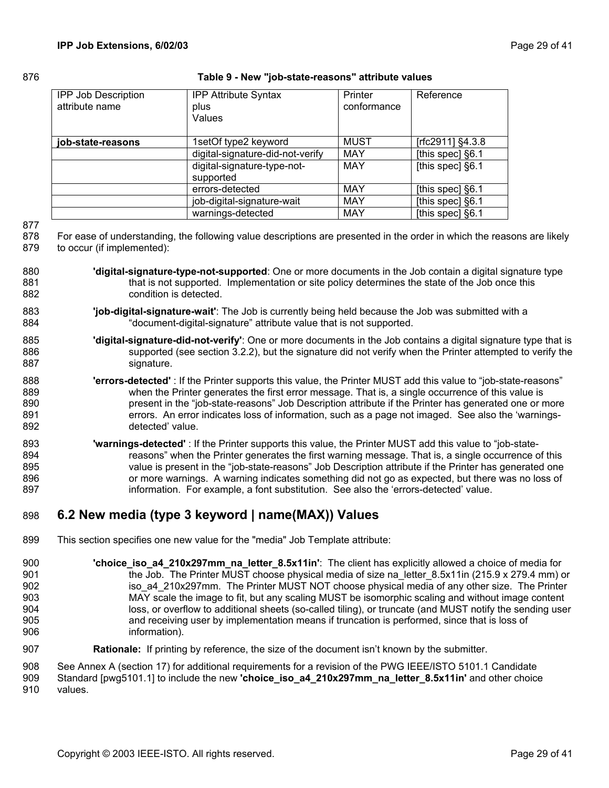### <span id="page-28-0"></span>876 **Table 9 - New "job-state-reasons" attribute values**

<span id="page-28-1"></span>

| <b>IPP Job Description</b><br>attribute name | <b>IPP Attribute Syntax</b><br>plus<br>Values | Printer<br>conformance | Reference        |
|----------------------------------------------|-----------------------------------------------|------------------------|------------------|
| job-state-reasons                            | 1setOf type2 keyword                          | <b>MUST</b>            | [rfc2911] §4.3.8 |
|                                              | digital-signature-did-not-verify              | MAY                    | [this spec] §6.1 |
|                                              | digital-signature-type-not-<br>supported      | MAY                    | [this spec] §6.1 |
|                                              | errors-detected                               | <b>MAY</b>             | [this spec] §6.1 |
|                                              | job-digital-signature-wait                    | MAY                    | [this spec] §6.1 |
|                                              | warnings-detected                             | MAY                    | [this spec] §6.1 |

877

878 879 For ease of understanding, the following value descriptions are presented in the order in which the reasons are likely to occur (if implemented):

- 880 881 882 **'digital-signature-type-not-supported**: One or more documents in the Job contain a digital signature type that is not supported. Implementation or site policy determines the state of the Job once this condition is detected.
- 883 884 **'job-digital-signature-wait'**: The Job is currently being held because the Job was submitted with a "document-digital-signature" attribute value that is not supported.
- 885 886 887 **'digital-signature-did-not-verify'**: One or more documents in the Job contains a digital signature type that is supported (see section [3.2.2\)](#page-14-1), but the signature did not verify when the Printer attempted to verify the signature.
- 888 889 890 891 892 **'errors-detected'** : If the Printer supports this value, the Printer MUST add this value to "job-state-reasons" when the Printer generates the first error message. That is, a single occurrence of this value is present in the "job-state-reasons" Job Description attribute if the Printer has generated one or more errors. An error indicates loss of information, such as a page not imaged. See also the 'warningsdetected' value.
- 893 894 895 896 897 **'warnings-detected'** : If the Printer supports this value, the Printer MUST add this value to "job-statereasons" when the Printer generates the first warning message. That is, a single occurrence of this value is present in the "job-state-reasons" Job Description attribute if the Printer has generated one or more warnings. A warning indicates something did not go as expected, but there was no loss of information. For example, a font substitution. See also the 'errors-detected' value.

#### <span id="page-28-2"></span>898 **6.2 New media (type 3 keyword | name(MAX)) Values**

- 899 This section specifies one new value for the "media" Job Template attribute:
- 900 901 902 903 904 905 906 **'choice\_iso\_a4\_210x297mm\_na\_letter\_8.5x11in'**: The client has explicitly allowed a choice of media for the Job. The Printer MUST choose physical media of size na letter  $8.5x11$ in (215.9 x 279.4 mm) or iso\_a4\_210x297mm. The Printer MUST NOT choose physical media of any other size. The Printer MAY scale the image to fit, but any scaling MUST be isomorphic scaling and without image content loss, or overflow to additional sheets (so-called tiling), or truncate (and MUST notify the sending user and receiving user by implementation means if truncation is performed, since that is loss of information).
- 907 **Rationale:** If printing by reference, the size of the document isn't known by the submitter.

908 See Annex A (section [17\)](#page-39-1) for additional requirements for a revision of the PWG IEEE/ISTO 5101.1 Candidate

909 Standard [pwg5101.1] to include the new **'choice\_iso\_a4\_210x297mm\_na\_letter\_8.5x11in'** and other choice

910 values.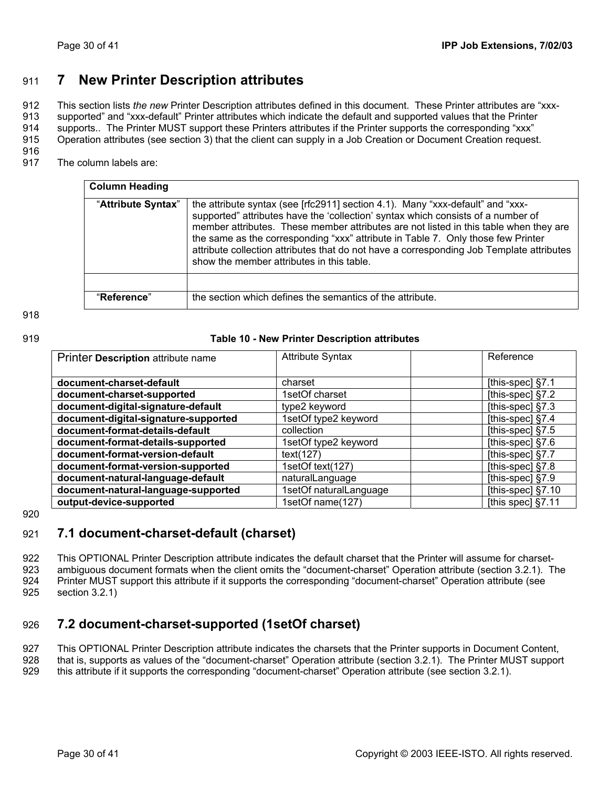# <span id="page-29-1"></span><span id="page-29-0"></span>911 **7 New Printer Description attributes**

912 913 914 This section lists *the new* Printer Description attributes defined in this document. These Printer attributes are "xxxsupported" and "xxx-default" Printer attributes which indicate the default and supported values that the Printer supports.. The Printer MUST support these Printers attributes if the Printer supports the corresponding "xxx"

915 Operation attributes (see section [3\)](#page-9-2) that the client can supply in a Job Creation or Document Creation request.

916

917 The column labels are:

| <b>Column Heading</b> |                                                                                                                                                                                                                                                                                                                                                                                                                                                                                          |
|-----------------------|------------------------------------------------------------------------------------------------------------------------------------------------------------------------------------------------------------------------------------------------------------------------------------------------------------------------------------------------------------------------------------------------------------------------------------------------------------------------------------------|
| "Attribute Syntax"    | the attribute syntax (see [rfc2911] section 4.1). Many "xxx-default" and "xxx-<br>supported" attributes have the 'collection' syntax which consists of a number of<br>member attributes. These member attributes are not listed in this table when they are<br>the same as the corresponding "xxx" attribute in Table 7. Only those few Printer<br>attribute collection attributes that do not have a corresponding Job Template attributes<br>show the member attributes in this table. |
|                       |                                                                                                                                                                                                                                                                                                                                                                                                                                                                                          |
| "Reference"           | the section which defines the semantics of the attribute.                                                                                                                                                                                                                                                                                                                                                                                                                                |

### 918

### 919 **Table 10 - New Printer Description attributes**

| Printer Description attribute name   | <b>Attribute Syntax</b> | Reference            |
|--------------------------------------|-------------------------|----------------------|
|                                      |                         |                      |
| document-charset-default             | charset                 | [this-spec] $§7.1$   |
| document-charset-supported           | 1setOf charset          | [this-spec] $§7.2$   |
| document-digital-signature-default   | type2 keyword           | [this-spec] $§7.3$   |
| document-digital-signature-supported | 1setOf type2 keyword    | [this-spec] $§7.4$   |
| document-format-details-default      | collection              | [this-spec] $§7.5$   |
| document-format-details-supported    | 1setOf type2 keyword    | [this-spec] $§7.6$   |
| document-format-version-default      | text(127)               | [this-spec] §7.7     |
| document-format-version-supported    | 1setOf text(127)        | [this-spec] $§7.8$   |
| document-natural-language-default    | naturalLanguage         | [this-spec] §7.9     |
| document-natural-language-supported  | 1setOf naturalLanguage  | [this-spec] $\S7.10$ |
| output-device-supported              | 1setOf name(127)        | [this spec] §7.11    |

920

#### <span id="page-29-2"></span>921 **7.1 document-charset-default (charset)**

922 923 924 925 This OPTIONAL Printer Description attribute indicates the default charset that the Printer will assume for charsetambiguous document formats when the client omits the "document-charset" Operation attribute (section [3.2.1\)](#page-13-1). The Printer MUST support this attribute if it supports the corresponding "document-charset" Operation attribute (see section [3.2.1\)](#page-13-1)

#### <span id="page-29-3"></span>926 **7.2 document-charset-supported (1setOf charset)**

927 928 This OPTIONAL Printer Description attribute indicates the charsets that the Printer supports in Document Content, that is, supports as values of the "document-charset" Operation attribute (section [3.2.1\)](#page-13-1). The Printer MUST support

929 this attribute if it supports the corresponding "document-charset" Operation attribute (see section [3.2.1\)](#page-13-1).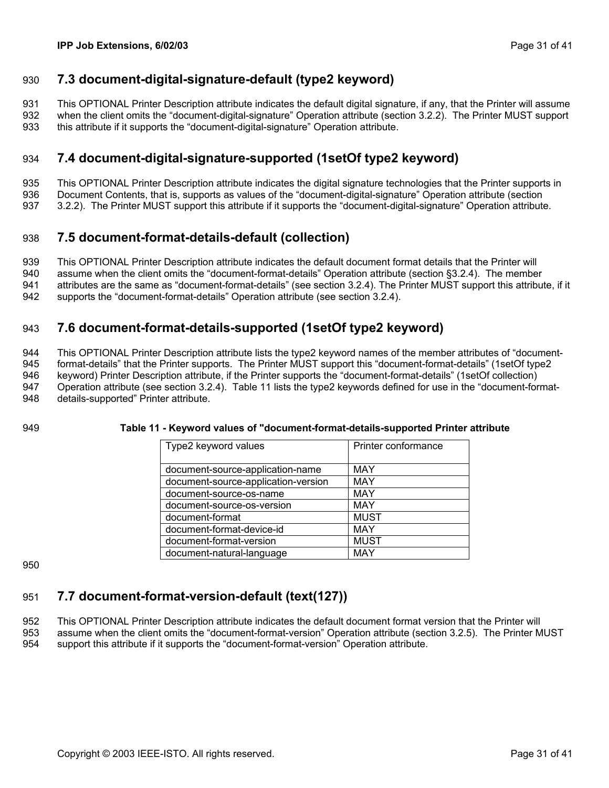# <span id="page-30-2"></span><span id="page-30-0"></span>930 **7.3 document-digital-signature-default (type2 keyword)**

931 932 933 This OPTIONAL Printer Description attribute indicates the default digital signature, if any, that the Printer will assume when the client omits the "document-digital-signature" Operation attribute (section [3.2.2\)](#page-14-1). The Printer MUST support this attribute if it supports the "document-digital-signature" Operation attribute.

#### <span id="page-30-3"></span>934 **7.4 document-digital-signature-supported (1setOf type2 keyword)**

935 This OPTIONAL Printer Description attribute indicates the digital signature technologies that the Printer supports in

936 Document Contents, that is, supports as values of the "document-digital-signature" Operation attribute (section

937 [3.2.2\)](#page-14-1). The Printer MUST support this attribute if it supports the "document-digital-signature" Operation attribute.

#### <span id="page-30-4"></span>938 **7.5 document-format-details-default (collection)**

939 This OPTIONAL Printer Description attribute indicates the default document format details that the Printer will

940 941 assume when the client omits the "document-format-details" Operation attribute (section [§3.2.4\)](#page-16-1). The member attributes are the same as "document-format-details" (see section [3.2.4\)](#page-16-1). The Printer MUST support this attribute, if it

942 supports the "document-format-details" Operation attribute (see section [3.2.4\)](#page-16-1).

#### <span id="page-30-1"></span>943 **7.6 document-format-details-supported (1setOf type2 keyword)**

944 945 946 947 948 This OPTIONAL Printer Description attribute lists the type2 keyword names of the member attributes of "documentformat-details" that the Printer supports. The Printer MUST support this "document-format-details" (1setOf type2 keyword) Printer Description attribute, if the Printer supports the "document-format-details" (1setOf collection) Operation attribute (see section [3.2.4\)](#page-16-1). [Table 11](#page-30-6) lists the type2 keywords defined for use in the "document-formatdetails-supported" Printer attribute.

949

### <span id="page-30-6"></span>**Table 11 - Keyword values of "document-format-details-supported Printer attribute**

| Type2 keyword values                | Printer conformance |  |
|-------------------------------------|---------------------|--|
|                                     |                     |  |
| document-source-application-name    | <b>MAY</b>          |  |
| document-source-application-version | <b>MAY</b>          |  |
| document-source-os-name             | <b>MAY</b>          |  |
| document-source-os-version          | <b>MAY</b>          |  |
| document-format                     | <b>MUST</b>         |  |
| document-format-device-id           | <b>MAY</b>          |  |
| document-format-version             | <b>MUST</b>         |  |
| document-natural-language           | MAY                 |  |

950

#### <span id="page-30-5"></span>951 **7.7 document-format-version-default (text(127))**

952 953 This OPTIONAL Printer Description attribute indicates the default document format version that the Printer will assume when the client omits the "document-format-version" Operation attribute (section [3.2.5\)](#page-19-2). The Printer MUST

954 support this attribute if it supports the "document-format-version" Operation attribute.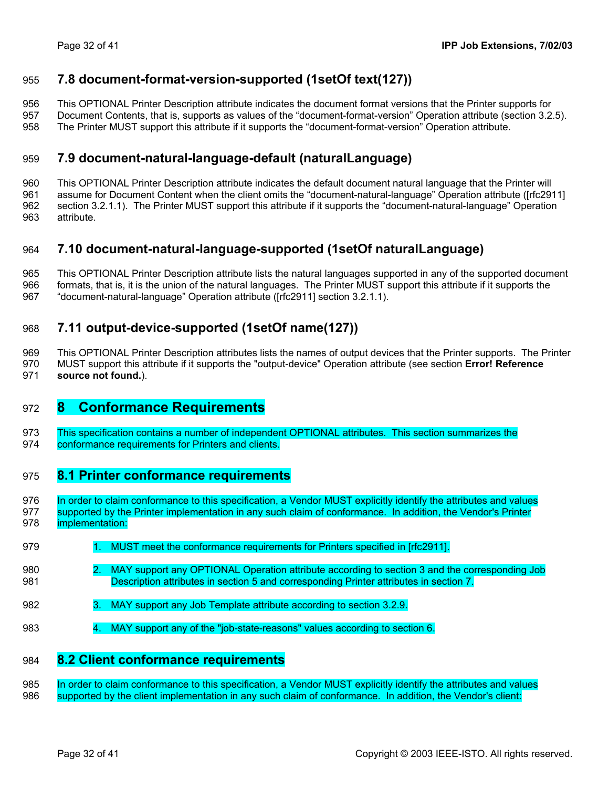# <span id="page-31-1"></span><span id="page-31-0"></span>955 **7.8 document-format-version-supported (1setOf text(127))**

956 This OPTIONAL Printer Description attribute indicates the document format versions that the Printer supports for

957 Document Contents, that is, supports as values of the "document-format-version" Operation attribute (section [3.2.5\)](#page-19-2).

958 The Printer MUST support this attribute if it supports the "document-format-version" Operation attribute.

#### <span id="page-31-3"></span>959 **7.9 document-natural-language-default (naturalLanguage)**

960 961 962 963 This OPTIONAL Printer Description attribute indicates the default document natural language that the Printer will assume for Document Content when the client omits the "document-natural-language" Operation attribute ([rfc2911] section 3.2.1.1). The Printer MUST support this attribute if it supports the "document-natural-language" Operation attribute.

#### <span id="page-31-4"></span>964 **7.10 document-natural-language-supported (1setOf naturalLanguage)**

965 This OPTIONAL Printer Description attribute lists the natural languages supported in any of the supported document

966 formats, that is, it is the union of the natural languages. The Printer MUST support this attribute if it supports the

967 "document-natural-language" Operation attribute ([rfc2911] section 3.2.1.1).

#### <span id="page-31-2"></span>968 **7.11 output-device-supported (1setOf name(127))**

969 970 971 This OPTIONAL Printer Description attributes lists the names of output devices that the Printer supports. The Printer MUST support this attribute if it supports the "output-device" Operation attribute (see section **[Error! Reference](#page-9-2)  [source not found.](#page-9-2)**).

# 972 **8 Conformance Requirements**

- 973 This specification contains a number of independent OPTIONAL attributes. This section summarizes the
- 974 conformance requirements for Printers and clients.

## 975 **8.1 Printer conformance requirements**

- 976 In order to claim conformance to this specification, a Vendor MUST explicitly identify the attributes and values 977 supported by the Printer implementation in any such claim of conformance. In addition, the Vendor's Printer 978 implementation:
- 979 1. MUST meet the conformance requirements for Printers specified in [rfc2911].
- 980 2. MAY support any OPTIONAL Operation attribute according to section [3](#page-9-2) and the corresponding Job 981 Description attributes in section [5](#page-24-1) and corresponding Printer attributes in section [7.](#page-29-1)
- 982 3. MAY support any Job Template attribute according to section [3.2.9.](#page-21-4)
- 983 4. MAY support any of the "job-state-reasons" values according to section [6.](#page-27-2)

### 984 **8.2 Client conformance requirements**

985 In order to claim conformance to this specification, a Vendor MUST explicitly identify the attributes and values 986 supported by the client implementation in any such claim of conformance. In addition, the Vendor's client: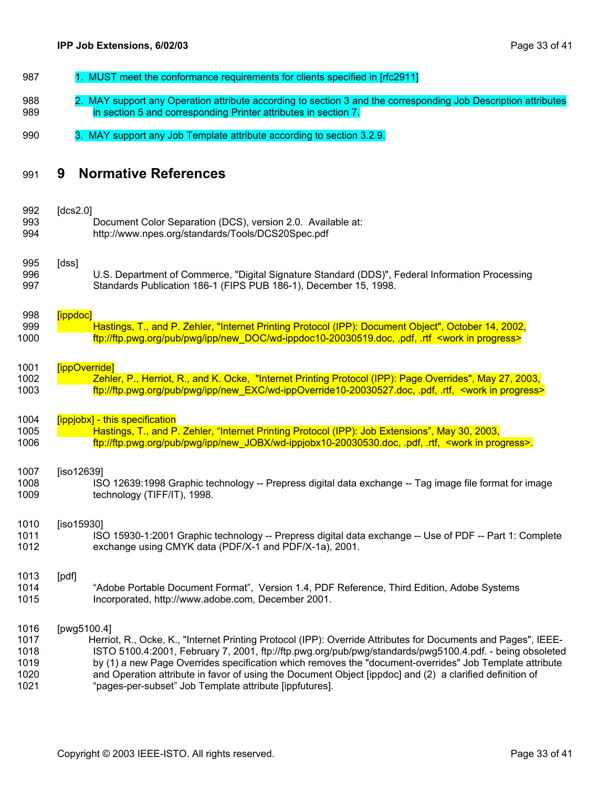<span id="page-32-0"></span>

| 987 | 1. MUST meet the conformance requirements for clients specified in [rfc2911]                                   |
|-----|----------------------------------------------------------------------------------------------------------------|
| 988 | 2. MAY support any Operation attribute according to section 3 and the corresponding Job Description attributes |
| 989 | in section 5 and corresponding Printer attributes in section 7.                                                |

990 3. MAY support any Job Template attribute according to section [3.2.9.](#page-21-4)

#### 991 **9 Normative References**

| 992  | [ $dcs2.0$ ]                                                                                                     |
|------|------------------------------------------------------------------------------------------------------------------|
| 993  | Document Color Separation (DCS), version 2.0. Available at:                                                      |
| 994  | http://www.npes.org/standards/Tools/DCS20Spec.pdf                                                                |
| 995  | [dss]                                                                                                            |
| 996  | U.S. Department of Commerce, "Digital Signature Standard (DDS)", Federal Information Processing                  |
| 997  | Standards Publication 186-1 (FIPS PUB 186-1), December 15, 1998.                                                 |
| 998  | [ippdoc]                                                                                                         |
| 999  | Hastings, T., and P. Zehler, "Internet Printing Protocol (IPP): Document Object", October 14, 2002,              |
| 1000 | ftp://ftp.pwg.org/pub/pwg/ipp/new_DOC/wd-ippdoc10-20030519.doc, .pdf, .rtf <work in="" progress=""></work>       |
| 1001 | [ippOverride]                                                                                                    |
| 1002 | Zehler, P., Herriot, R., and K. Ocke, "Internet Printing Protocol (IPP): Page Overrides", May 27, 2003,          |
| 1003 | ftp://ftp.pwg.org/pub/pwg/ipp/new_EXC/wd-ippOverride10-20030527.doc, .pdf, .rtf, <work in="" progress=""></work> |
| 1004 | [ippjobx] - this specification                                                                                   |
| 1005 | Hastings, T., and P. Zehler, "Internet Printing Protocol (IPP): Job Extensions", May 30, 2003,                   |
| 1006 | ftp://ftp.pwg.org/pub/pwg/ipp/new_JOBX/wd-ippjobx10-20030530.doc, .pdf, .rtf, <work in="" progress="">.</work>   |
| 1007 | $[iso12639]$                                                                                                     |
| 1008 | ISO 12639:1998 Graphic technology -- Prepress digital data exchange -- Tag image file format for image           |
| 1009 | technology (TIFF/IT), 1998.                                                                                      |
| 1010 | $[iso15930]$                                                                                                     |
| 1011 | ISO 15930-1:2001 Graphic technology -- Prepress digital data exchange -- Use of PDF -- Part 1: Complete          |
| 1012 | exchange using CMYK data (PDF/X-1 and PDF/X-1a), 2001.                                                           |
| 1013 | [pdf]                                                                                                            |
| 1014 | "Adobe Portable Document Format", Version 1.4, PDF Reference, Third Edition, Adobe Systems                       |
| 1015 | Incorporated, http://www.adobe.com, December 2001.                                                               |
| 1016 | [pwg5100.4]                                                                                                      |
| 1017 | Herriot, R., Ocke, K., "Internet Printing Protocol (IPP): Override Attributes for Documents and Pages", IEEE-    |
| 1018 | ISTO 5100.4:2001, February 7, 2001, ftp://ftp.pwg.org/pub/pwg/standards/pwg5100.4.pdf. - being obsoleted         |
| 1019 | by (1) a new Page Overrides specification which removes the "document-overrides" Job Template attribute          |
| 1020 | and Operation attribute in favor of using the Document Object [ippdoc] and (2) a clarified definition of         |

1021 "pages-per-subset" Job Template attribute [ippfutures].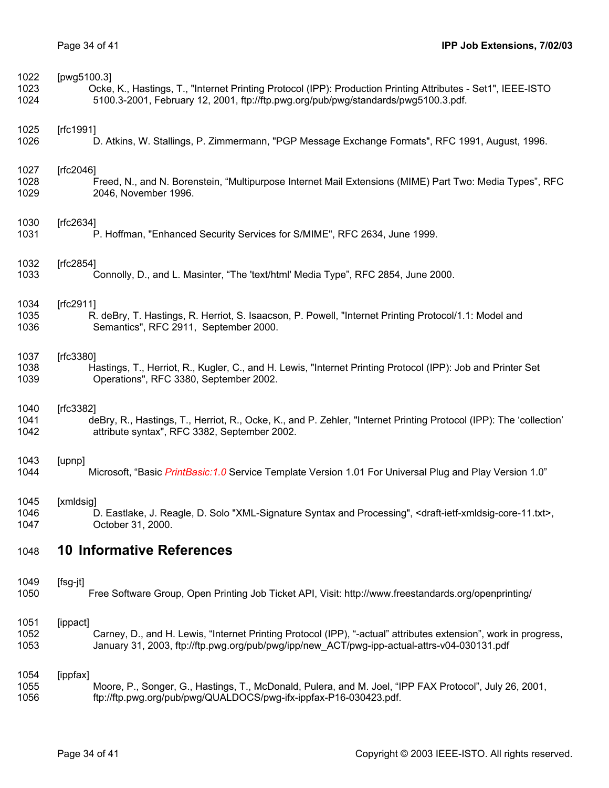<span id="page-33-0"></span>

| 1022 | [pwg5100.3]                                                                                                                              |
|------|------------------------------------------------------------------------------------------------------------------------------------------|
| 1023 | Ocke, K., Hastings, T., "Internet Printing Protocol (IPP): Production Printing Attributes - Set1", IEEE-ISTO                             |
| 1024 | 5100.3-2001, February 12, 2001, ftp://ftp.pwg.org/pub/pwg/standards/pwg5100.3.pdf.                                                       |
| 1025 | [ $rfc1991$ ]                                                                                                                            |
| 1026 | D. Atkins, W. Stallings, P. Zimmermann, "PGP Message Exchange Formats", RFC 1991, August, 1996.                                          |
| 1027 | [ $fc2046$ ]                                                                                                                             |
| 1028 | Freed, N., and N. Borenstein, "Multipurpose Internet Mail Extensions (MIME) Part Two: Media Types", RFC                                  |
| 1029 | 2046, November 1996.                                                                                                                     |
| 1030 | [ $fc2634$ ]                                                                                                                             |
| 1031 | P. Hoffman, "Enhanced Security Services for S/MIME", RFC 2634, June 1999.                                                                |
| 1032 | [ $fc2854$ ]                                                                                                                             |
| 1033 | Connolly, D., and L. Masinter, "The 'text/html' Media Type", RFC 2854, June 2000.                                                        |
| 1034 | [ $fc2911$ ]                                                                                                                             |
| 1035 | R. deBry, T. Hastings, R. Herriot, S. Isaacson, P. Powell, "Internet Printing Protocol/1.1: Model and                                    |
| 1036 | Semantics", RFC 2911, September 2000.                                                                                                    |
| 1037 | [ $fc3380$ ]                                                                                                                             |
| 1038 | Hastings, T., Herriot, R., Kugler, C., and H. Lewis, "Internet Printing Protocol (IPP): Job and Printer Set                              |
| 1039 | Operations", RFC 3380, September 2002.                                                                                                   |
| 1040 | [ $fc3382$ ]                                                                                                                             |
| 1041 | deBry, R., Hastings, T., Herriot, R., Ocke, K., and P. Zehler, "Internet Printing Protocol (IPP): The 'collection'                       |
| 1042 | attribute syntax", RFC 3382, September 2002.                                                                                             |
| 1043 | [upnp]                                                                                                                                   |
| 1044 | Microsoft, "Basic PrintBasic: 1.0 Service Template Version 1.01 For Universal Plug and Play Version 1.0"                                 |
| 1045 | [xmldsig]                                                                                                                                |
| 1046 | D. Eastlake, J. Reagle, D. Solo "XML-Signature Syntax and Processing", <draft-ietf-xmldsig-core-11.txt></draft-ietf-xmldsig-core-11.txt> |
| 1047 | October 31, 2000.                                                                                                                        |
| 1048 | <b>10 Informative References</b>                                                                                                         |
| 1049 | [fsg-jt]                                                                                                                                 |
| 1050 | Free Software Group, Open Printing Job Ticket API, Visit: http://www.freestandards.org/openprinting/                                     |
| 1051 | [ippact]                                                                                                                                 |
| 1052 | Carney, D., and H. Lewis, "Internet Printing Protocol (IPP), "-actual" attributes extension", work in progress,                          |
| 1053 | January 31, 2003, ftp://ftp.pwg.org/pub/pwg/ipp/new_ACT/pwg-ipp-actual-attrs-v04-030131.pdf                                              |
| 1054 | [ippfax]                                                                                                                                 |
| 1055 | Moore, P., Songer, G., Hastings, T., McDonald, Pulera, and M. Joel, "IPP FAX Protocol", July 26, 2001,                                   |
| 1056 | ftp://ftp.pwg.org/pub/pwg/QUALDOCS/pwg-ifx-ippfax-P16-030423.pdf.                                                                        |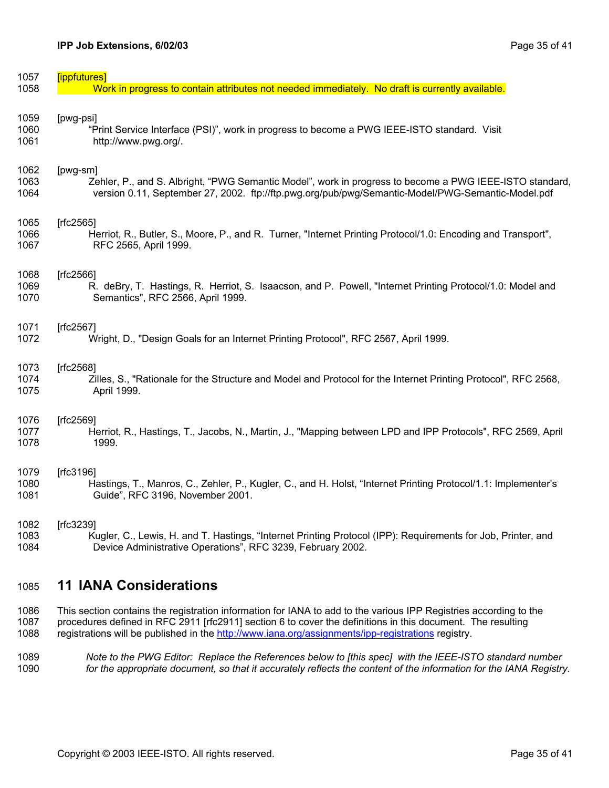<span id="page-34-0"></span>

| 1057 | [ippfutures]                                                                                                   |
|------|----------------------------------------------------------------------------------------------------------------|
| 1058 | Work in progress to contain attributes not needed immediately. No draft is currently available.                |
| 1059 | [pwg-psi]                                                                                                      |
| 1060 | "Print Service Interface (PSI)", work in progress to become a PWG IEEE-ISTO standard. Visit                    |
| 1061 | http://www.pwg.org/.                                                                                           |
| 1062 | [pwg-sm]                                                                                                       |
| 1063 | Zehler, P., and S. Albright, "PWG Semantic Model", work in progress to become a PWG IEEE-ISTO standard,        |
| 1064 | version 0.11, September 27, 2002. ftp://ftp.pwg.org/pub/pwg/Semantic-Model/PWG-Semantic-Model.pdf              |
| 1065 | [ $fc2565$ ]                                                                                                   |
| 1066 | Herriot, R., Butler, S., Moore, P., and R. Turner, "Internet Printing Protocol/1.0: Encoding and Transport",   |
| 1067 | RFC 2565, April 1999.                                                                                          |
| 1068 | [ $fc2566$ ]                                                                                                   |
| 1069 | R. deBry, T. Hastings, R. Herriot, S. Isaacson, and P. Powell, "Internet Printing Protocol/1.0: Model and      |
| 1070 | Semantics", RFC 2566, April 1999.                                                                              |
| 1071 | [ $fc2567$ ]                                                                                                   |
| 1072 | Wright, D., "Design Goals for an Internet Printing Protocol", RFC 2567, April 1999.                            |
| 1073 | [ $fc2568$ ]                                                                                                   |
| 1074 | Zilles, S., "Rationale for the Structure and Model and Protocol for the Internet Printing Protocol", RFC 2568, |
| 1075 | April 1999.                                                                                                    |
| 1076 | [rfc2569]                                                                                                      |
| 1077 | Herriot, R., Hastings, T., Jacobs, N., Martin, J., "Mapping between LPD and IPP Protocols", RFC 2569, April    |
| 1078 | 1999.                                                                                                          |
| 1079 | [rfc3196]                                                                                                      |
| 1080 | Hastings, T., Manros, C., Zehler, P., Kugler, C., and H. Holst, "Internet Printing Protocol/1.1: Implementer's |
| 1081 | Guide", RFC 3196, November 2001.                                                                               |
| 1082 | [ $rfc3239$ ]                                                                                                  |
| 1083 | Kugler, C., Lewis, H. and T. Hastings, "Internet Printing Protocol (IPP): Requirements for Job, Printer, and   |
| 1084 | Device Administrative Operations", RFC 3239, February 2002.                                                    |
|      |                                                                                                                |

#### 1085 **11 IANA Considerations**

1086 1087 This section contains the registration information for IANA to add to the various IPP Registries according to the procedures defined in RFC 2911 [rfc2911] section 6 to cover the definitions in this document. The resulting 1088 registrations will be published in the http://www.iana.org/assignments/ipp-registrations registry.

1089 1090 *Note to the PWG Editor: Replace the References below to [this spec] with the IEEE-ISTO standard number for the appropriate document, so that it accurately reflects the content of the information for the IANA Registry.*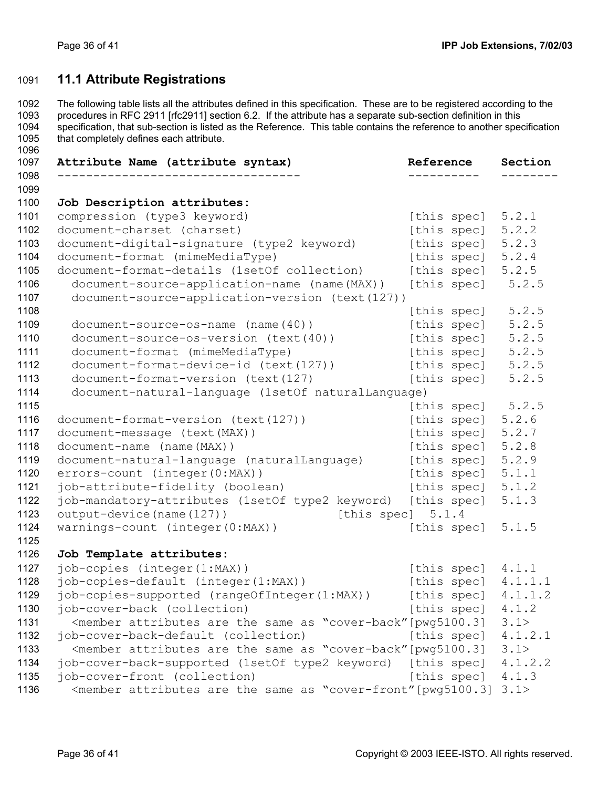1096

# <span id="page-35-0"></span>1091 **11.1 Attribute Registrations**

1092 1093 1094 1095 The following table lists all the attributes defined in this specification. These are to be registered according to the procedures in RFC 2911 [rfc2911] section 6.2. If the attribute has a separate sub-section definition in this specification, that sub-section is listed as the Reference. This table contains the reference to another specification that completely defines each attribute.

| Attribute Name (attribute syntax)                                                                                           | Reference           | Section |
|-----------------------------------------------------------------------------------------------------------------------------|---------------------|---------|
|                                                                                                                             |                     |         |
| Job Description attributes:                                                                                                 |                     |         |
| compression (type3 keyword)                                                                                                 | [this spec]         | 5.2.1   |
| document-charset (charset)                                                                                                  | [this spec]         | 5.2.2   |
| document-digital-signature (type2 keyword)                                                                                  | [this spec]         | 5.2.3   |
| document-format (mimeMediaType)                                                                                             | [this spec]         | 5.2.4   |
| document-format-details (1setOf collection)                                                                                 | [this spec]         | 5.2.5   |
| document-source-application-name (name(MAX))                                                                                | [this spec]         | 5.2.5   |
| document-source-application-version (text(127))                                                                             |                     |         |
|                                                                                                                             | [this spec]         | 5.2.5   |
| $document-source-os-name (name (40))$                                                                                       | [this spec]         | 5.2.5   |
| document-source-os-version (text(40))                                                                                       | [this spec]         | 5.2.5   |
| document-format (mimeMediaType)                                                                                             | [this spec]         | 5.2.5   |
| document-format-device-id (text(127))                                                                                       | [this spec]         | 5.2.5   |
| document-format-version (text(127)                                                                                          | [this spec]         | 5.2.5   |
| document-natural-language (1setOf naturalLanguage)                                                                          |                     |         |
|                                                                                                                             | [this spec]         | 5.2.5   |
| document-format-version (text(127))                                                                                         | [this spec]         | 5.2.6   |
| document-message (text (MAX))                                                                                               | [this spec]         | 5.2.7   |
| document-name (name (MAX))                                                                                                  | [this spec]         | 5.2.8   |
| document-natural-language (naturalLanguage)                                                                                 | [this spec]         | 5.2.9   |
| errors-count (integer(0:MAX))                                                                                               | [this spec]         | 5.1.1   |
| job-attribute-fidelity (boolean)                                                                                            | [this spec]         | 5.1.2   |
| job-mandatory-attributes (1setOf type2 keyword) [this spec]                                                                 |                     | 5.1.3   |
| output-device (name (127))                                                                                                  | [this spec] $5.1.4$ |         |
| warnings-count (integer(0:MAX))                                                                                             | [this spec]         | 5.1.5   |
|                                                                                                                             |                     |         |
| Job Template attributes:                                                                                                    |                     |         |
| job-copies (integer(1:MAX))                                                                                                 | [this spec] $4.1.1$ |         |
| job-copies-default (integer(1:MAX))                                                                                         | [this spec]         | 4.1.1.1 |
| job-copies-supported (rangeOfInteger(1:MAX))                                                                                | [this spec]         | 4.1.1.2 |
| job-cover-back (collection)                                                                                                 | [this spec]         | 4.1.2   |
| <member "cover-back"="" [pwg5100.3]<="" are="" as="" attributes="" same="" td="" the=""><td></td><td>3.1&gt;</td></member>  |                     | 3.1>    |
| job-cover-back-default (collection)                                                                                         | [this spec]         | 4.1.2.1 |
| <member "cover-back"="" [pwg5100.3]<="" are="" as="" attributes="" same="" td="" the=""><td></td><td>3.1&gt;</td></member>  |                     | 3.1>    |
| job-cover-back-supported (1setOf type2 keyword) [this spec]                                                                 |                     | 4.1.2.2 |
| job-cover-front (collection)                                                                                                | [this spec]         | 4.1.3   |
| <member "cover-front"="" [pwg5100.3]<="" are="" as="" attributes="" same="" td="" the=""><td></td><td>3.1&gt;</td></member> |                     | 3.1>    |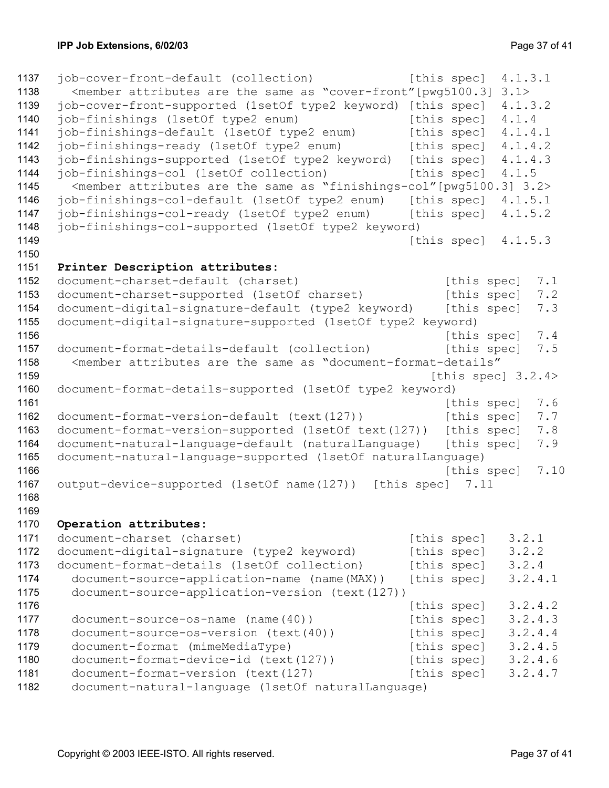```
1137 job-cover-front-default (collection) [this spec] 4.1.3.1
1138 
1139 
1140 
1141 
1142 
1143 
1144 
1145 
1146 
1147 
1148 
1149 
1150 
1151 
1152 
1153 
1154 
1155 
1156 
1157 
1158 
1159 
1160 
1161 
1162 
1163 
1164 
1165 
1166 
1167 
1168 
1169 
1170 
1171 
1172 
1173 
1174 
1175 
1176 
1177 
1178 
1179 
1180 
1181 
1182 
       \zeta =member attributes are the same as "cover-front" [pwq5100.3] 3.1>
     job-cover-front-supported (1setOf type2 keyword) [this spec] 4.1.3.2 
     job-finishings (1setOf type2 enum) [this spec] 4.1.4
     job-finishings-default (1setOf type2 enum) [this spec] 4.1.4.1 
     job-finishings-ready (1setOf type2 enum) [this spec] 4.1.4.2 
     job-finishings-supported (1setOf type2 keyword) [this spec] 4.1.4.3 
     job-finishings-col (1setOf collection) [this spec] 4.1.5
        <member attributes are the same as "finishings-col"[pwg5100.3] 3.2> 
     job-finishings-col-default (1setOf type2 enum) [this spec] 4.1.5.1 
     job-finishings-col-ready (1setOf type2 enum) [this spec] 4.1.5.2
     job-finishings-col-supported (1setOf type2 keyword) 
                                                      [this spec] 4.1.5.3 
     Printer Description attributes: 
     document-charset-default (charset) [this spec] 7.1
     document-charset-supported (1setOf charset) [this spec] 7.2
     document-digital-signature-default (type2 keyword) [this spec] 7.3
     document-digital-signature-supported (1setOf type2 keyword) 
                                                         [this spec] 7.4
     document-format-details-default (collection) [this spec] 7.5
        <member attributes are the same as "document-format-details" 
                                                        [this spec] 3.2.4>
     document-format-details-supported (1setOf type2 keyword) 
                                                         [this spec] 7.6
     document-format-version-default (text(127)) [this spec] 7.7
     document-format-version-supported (1setOf text(127)) [this spec] 7.8 
     document-natural-language-default (naturalLanguage) [this spec] 7.9
     document-natural-language-supported (1setOf naturalLanguage) 
                                                          [this spec] 7.10 
     output-device-supported (1setOf name(127)) [this spec] 7.11 
     Operation attributes: 
     document-charset (charset) [this speed] 3.2.1
     document-digital-signature (type2 keyword) [this spec] 3.2.2
     document-format-details (1setOf collection) [this spec] 3.2.4
        document-source-application-name (name(MAX)) [this spec] 3.2.4.1 
        document-source-application-version (text(127)) 
                                                      [this spec] 3.2.4.2 
       document-source-os-name (name(40)) [this spec] 3.2.4.3
       document-source-os-version (text(40)) [this spec] 3.2.4.4
       document-format (mimeMediaType) [this spec] 3.2.4.5
       document-format-device-id (text(127)) [this spec] 3.2.4.6
       document-format-version (text(127) [this spec] 3.2.4.7
        document-natural-language (1setOf naturalLanguage)
```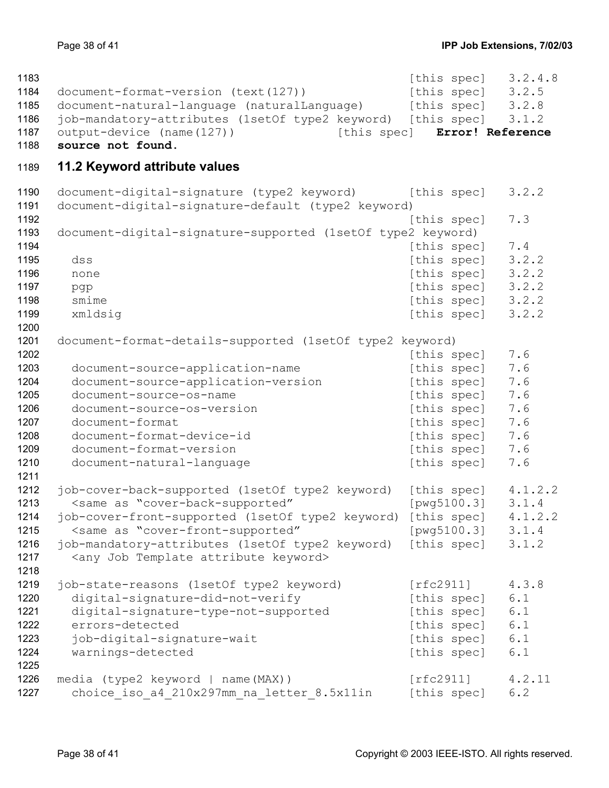<span id="page-37-0"></span>

| 1183 |                                                                                                  |             | [this spec] $3.2.4.8$ |         |
|------|--------------------------------------------------------------------------------------------------|-------------|-----------------------|---------|
| 1184 | document-format-version (text(127))                                                              |             | [this spec]           | 3.2.5   |
| 1185 | document-natural-language (naturalLanguage)                                                      |             | [this spec] $3.2.8$   |         |
| 1186 | job-mandatory-attributes (1setOf type2 keyword) [this spec]                                      |             |                       | 3.1.2   |
| 1187 | output-device (name(127))<br>[this spec]                                                         |             | Error! Reference      |         |
| 1188 | source not found.                                                                                |             |                       |         |
| 1189 | 11.2 Keyword attribute values                                                                    |             |                       |         |
| 1190 | document-digital-signature (type2 keyword) [this spec]                                           |             |                       | 3.2.2   |
| 1191 | document-digital-signature-default (type2 keyword)                                               |             |                       |         |
| 1192 |                                                                                                  | [this spec] |                       | 7.3     |
| 1193 | document-digital-signature-supported (1setOf type2 keyword)                                      |             |                       |         |
| 1194 |                                                                                                  |             | [this spec]           | 7.4     |
| 1195 | dss                                                                                              |             | [this spec]           | 3.2.2   |
| 1196 | none                                                                                             |             | [this spec]           | 3.2.2   |
| 1197 | pgp                                                                                              |             | [this spec]           | 3.2.2   |
| 1198 | smime                                                                                            |             | [this spec]           | 3.2.2   |
| 1199 | xmldsig                                                                                          |             | [this spec]           | 3.2.2   |
| 1200 |                                                                                                  |             |                       |         |
| 1201 | document-format-details-supported (1setOf type2 keyword)                                         |             |                       |         |
| 1202 |                                                                                                  | [this spec] |                       | 7.6     |
| 1203 | document-source-application-name                                                                 |             | [this spec]           | 7.6     |
| 1204 | document-source-application-version                                                              | [this spec] |                       | 7.6     |
| 1205 | document-source-os-name                                                                          |             | [this spec]           | 7.6     |
| 1206 | document-source-os-version                                                                       |             | [this spec]           | 7.6     |
| 1207 | document-format                                                                                  |             | [this spec]           | 7.6     |
| 1208 | document-format-device-id                                                                        |             | [this spec]           | 7.6     |
| 1209 | document-format-version                                                                          |             | [this spec]           | 7.6     |
| 1210 | document-natural-language                                                                        | [this spec] |                       | 7.6     |
| 1211 |                                                                                                  |             |                       |         |
| 1212 | job-cover-back-supported (1setOf type2 keyword)                                                  |             | [this spec]           | 4.1.2.2 |
| 1213 | <same "cover-back-supported"<="" as="" th=""><th></th><th>[pwq5100.3]</th><th>3.1.4</th></same>  |             | [pwq5100.3]           | 3.1.4   |
| 1214 | job-cover-front-supported (1setOf type2 keyword) [this spec] 4.1.2.2                             |             |                       |         |
| 1215 | <same "cover-front-supported"<="" as="" th=""><th></th><th>[pwq5100.3]</th><th>3.1.4</th></same> |             | [pwq5100.3]           | 3.1.4   |
| 1216 | job-mandatory-attributes (1setOf type2 keyword) [this spec] 3.1.2                                |             |                       |         |
| 1217 | <any attribute="" job="" keyword="" template=""></any>                                           |             |                       |         |
| 1218 |                                                                                                  |             |                       |         |
| 1219 | job-state-reasons (1setOf type2 keyword)                                                         | [rfc2911]   |                       | 4.3.8   |
| 1220 | digital-signature-did-not-verify                                                                 |             | [this spec]           | 6.1     |
| 1221 | digital-signature-type-not-supported                                                             |             | [this spec]           | 6.1     |
| 1222 | errors-detected                                                                                  |             | [this spec]           | 6.1     |
| 1223 | job-digital-signature-wait                                                                       |             | [this spec]           | 6.1     |
| 1224 | warnings-detected                                                                                |             | [this spec]           | 6.1     |
| 1225 |                                                                                                  |             |                       |         |
| 1226 | media (type2 keyword   name(MAX))                                                                | [rfc2911]   |                       | 4.2.11  |
| 1227 | choice iso a4 210x297mm na letter 8.5x11in                                                       |             | [this spec]           | 6.2     |
|      |                                                                                                  |             |                       |         |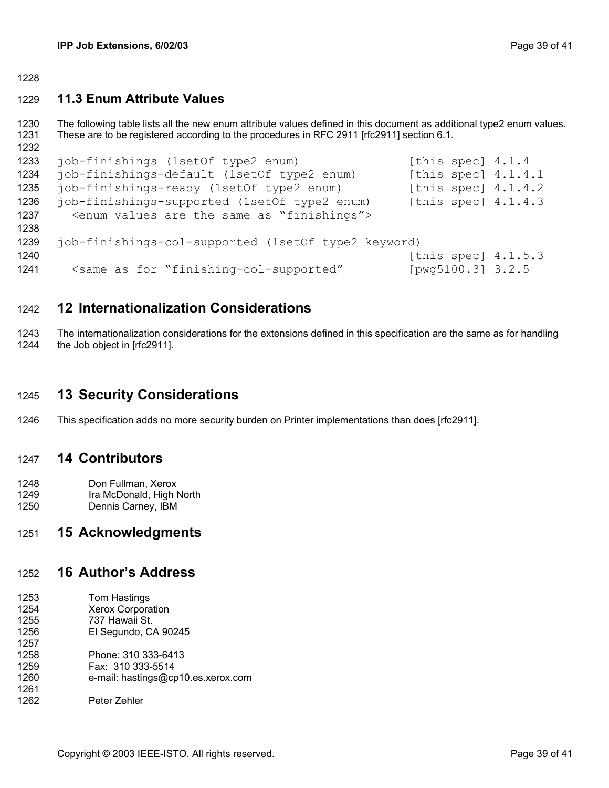<span id="page-38-0"></span>1228

#### 1229 **11.3 Enum Attribute Values**

1230 1231 1232 The following table lists all the new enum attribute values defined in this document as additional type2 enum values. These are to be registered according to the procedures in RFC 2911 [rfc2911] section 6.1.

```
1233 
1234 
1235 
1236 
1237 
1238 
1239 
1240 
1241 
     job-finishings (1setOf type2 enum) [this spec] 4.1.4
     job-finishings-default (1setOf type2 enum) [this spec] 4.1.4.1
     job-finishings-ready (1setOf type2 enum) [this spec] 4.1.4.2 
     job-finishings-supported (1setOf type2 enum) [this spec] 4.1.4.3 
        <enum values are the same as "finishings"> 
     job-finishings-col-supported (1setOf type2 keyword) 
                                                       [this spec] 4.1.5.3 
        <same as for "finishing-col-supported" [pwg5100.3] 3.2.5
```
#### 1242 **12 Internationalization Considerations**

1243 1244 The internationalization considerations for the extensions defined in this specification are the same as for handling the Job object in [rfc2911].

#### 1245 **13 Security Considerations**

1246 This specification adds no more security burden on Printer implementations than does [rfc2911].

#### 1247 **14 Contributors**

- 1248 1249 Don Fullman, Xerox Ira McDonald, High North
- 1250 Dennis Carney, IBM

#### 1251 **15 Acknowledgments**

#### 1252 **16 Author's Address**

- 1253 1254 1255 1256 1257 1258 1259 Tom Hastings Xerox Corporation 737 Hawaii St. El Segundo, CA 90245 Phone: 310 333-6413 Fax: 310 333-5514
- 1260 1261 e-mail: hastings@cp10.es.xerox.com
- 1262 Peter Zehler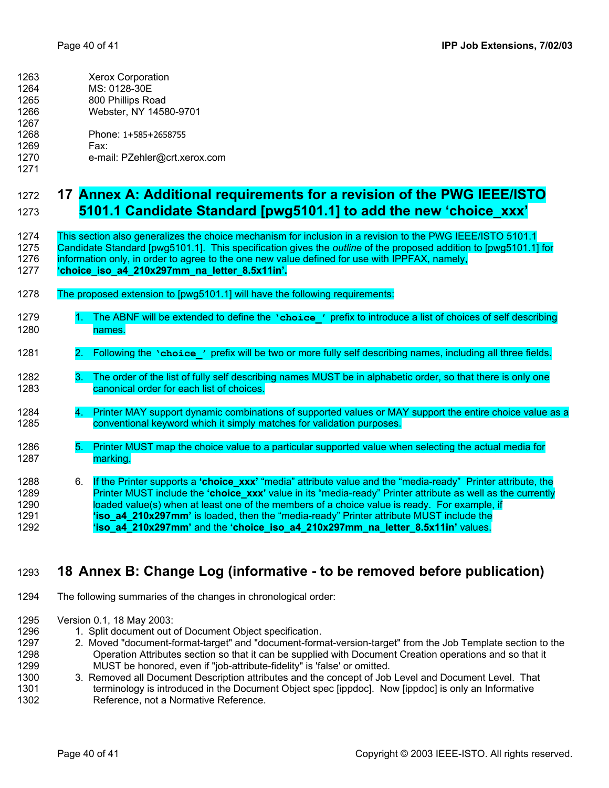<span id="page-39-0"></span>

| 1263 | <b>Xerox Corporation</b> |
|------|--------------------------|
| 1264 | MS: 0128-30E             |
| 1265 | 800 Phillips Road        |
| 1266 | Webster, NY 14580-9701   |

- 1267
- 1268 Phone: 1+585+2658755
- 1269 Fax:
- 1270 1271 e-mail: PZehler@crt.xerox.com

# <span id="page-39-1"></span>1272 **17 Annex A: Additional requirements for a revision of the PWG IEEE/ISTO**  1273 **5101.1 Candidate Standard [pwg5101.1] to add the new 'choice\_xxx'**

1274 This section also generalizes the choice mechanism for inclusion in a revision to the PWG IEEE/ISTO 5101.1 1275 Candidate Standard [pwg5101.1]. This specification gives the *outline* of the proposed addition to [pwg5101.1] for 1276 information only, in order to agree to the one new value defined for use with IPPFAX, namely,

- 1277 **'choice\_iso\_a4\_210x297mm\_na\_letter\_8.5x11in'.**
- 1278 The proposed extension to [pwg5101.1] will have the following requirements:
- 1279 1. The ABNF will be extended to define the **'choice\_'** prefix to introduce a list of choices of self describing 1280 names. 1281 2. Following the **'choice\_'** prefix will be two or more fully self describing names, including all three fields. 1282 3. The order of the list of fully self describing names MUST be in alphabetic order, so that there is only one 1283 canonical order for each list of choices. 1284 4. Printer MAY support dynamic combinations of supported values or MAY support the entire choice value as a 1285 conventional keyword which it simply matches for validation purposes. 1286 5. Printer MUST map the choice value to a particular supported value when selecting the actual media for 1287 marking. 1288 6. If the Printer supports a **'choice\_xxx'** "media" attribute value and the "media-ready" Printer attribute, the 1289 Printer MUST include the **'choice\_xxx'** value in its "media-ready" Printer attribute as well as the currently 1290 loaded value(s) when at least one of the members of a choice value is ready. For example, if 1291 **'iso\_a4\_210x297mm'** is loaded, then the "media-ready" Printer attribute MUST include the

1292 **'iso\_a4\_210x297mm'** and the **'choice\_iso\_a4\_210x297mm\_na\_letter\_8.5x11in'** values.

#### 1293 **18 Annex B: Change Log (informative - to be removed before publication)**

- 1294 The following summaries of the changes in chronological order:
- 1295 Version 0.1, 18 May 2003:

- 1. Split document out of Document Object specification.
- 1297 1298 1299 2. Moved "document-format-target" and "document-format-version-target" from the Job Template section to the Operation Attributes section so that it can be supplied with Document Creation operations and so that it MUST be honored, even if "job-attribute-fidelity" is 'false' or omitted.
- 1300 1301 1302 3. Removed all Document Description attributes and the concept of Job Level and Document Level. That terminology is introduced in the Document Object spec [ippdoc]. Now [ippdoc] is only an Informative Reference, not a Normative Reference.